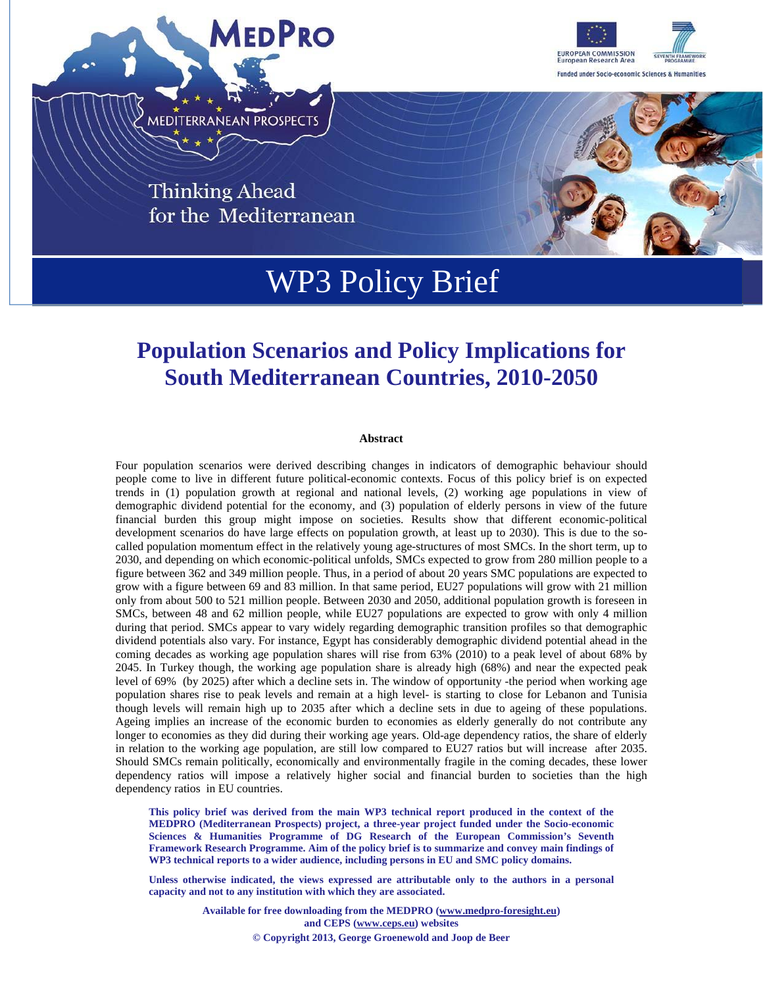



**Thinking Ahead** for the Mediterranean



# WP3 Policy Brief

# **Population Scenarios and Policy Implications for South Mediterranean Countries, 2010-2050**

#### **Abstract**

Four population scenarios were derived describing changes in indicators of demographic behaviour should people come to live in different future political-economic contexts. Focus of this policy brief is on expected trends in (1) population growth at regional and national levels, (2) working age populations in view of demographic dividend potential for the economy, and (3) population of elderly persons in view of the future financial burden this group might impose on societies. Results show that different economic-political development scenarios do have large effects on population growth, at least up to 2030). This is due to the socalled population momentum effect in the relatively young age-structures of most SMCs. In the short term, up to 2030, and depending on which economic-political unfolds, SMCs expected to grow from 280 million people to a figure between 362 and 349 million people. Thus, in a period of about 20 years SMC populations are expected to grow with a figure between 69 and 83 million. In that same period, EU27 populations will grow with 21 million only from about 500 to 521 million people. Between 2030 and 2050, additional population growth is foreseen in SMCs, between 48 and 62 million people, while EU27 populations are expected to grow with only 4 million during that period. SMCs appear to vary widely regarding demographic transition profiles so that demographic dividend potentials also vary. For instance, Egypt has considerably demographic dividend potential ahead in the coming decades as working age population shares will rise from 63% (2010) to a peak level of about 68% by 2045. In Turkey though, the working age population share is already high (68%) and near the expected peak level of 69% (by 2025) after which a decline sets in. The window of opportunity -the period when working age population shares rise to peak levels and remain at a high level- is starting to close for Lebanon and Tunisia though levels will remain high up to 2035 after which a decline sets in due to ageing of these populations. Ageing implies an increase of the economic burden to economies as elderly generally do not contribute any longer to economies as they did during their working age years. Old-age dependency ratios, the share of elderly in relation to the working age population, are still low compared to EU27 ratios but will increase after 2035. Should SMCs remain politically, economically and environmentally fragile in the coming decades, these lower dependency ratios will impose a relatively higher social and financial burden to societies than the high dependency ratios in EU countries.

**This policy brief was derived from the main WP3 technical report produced in the context of the MEDPRO (Mediterranean Prospects) project, a three-year project funded under the Socio-economic Sciences & Humanities Programme of DG Research of the European Commission's Seventh Framework Research Programme. Aim of the policy brief is to summarize and convey main findings of WP3 technical reports to a wider audience, including persons in EU and SMC policy domains.** 

**Unless otherwise indicated, the views expressed are attributable only to the authors in a personal capacity and not to any institution with which they are associated.** 

> **Available for free downloading from the MEDPRO (www.medpro-foresight.eu) and CEPS (www.ceps.eu) websites © Copyright 2013, George Groenewold and Joop de Beer**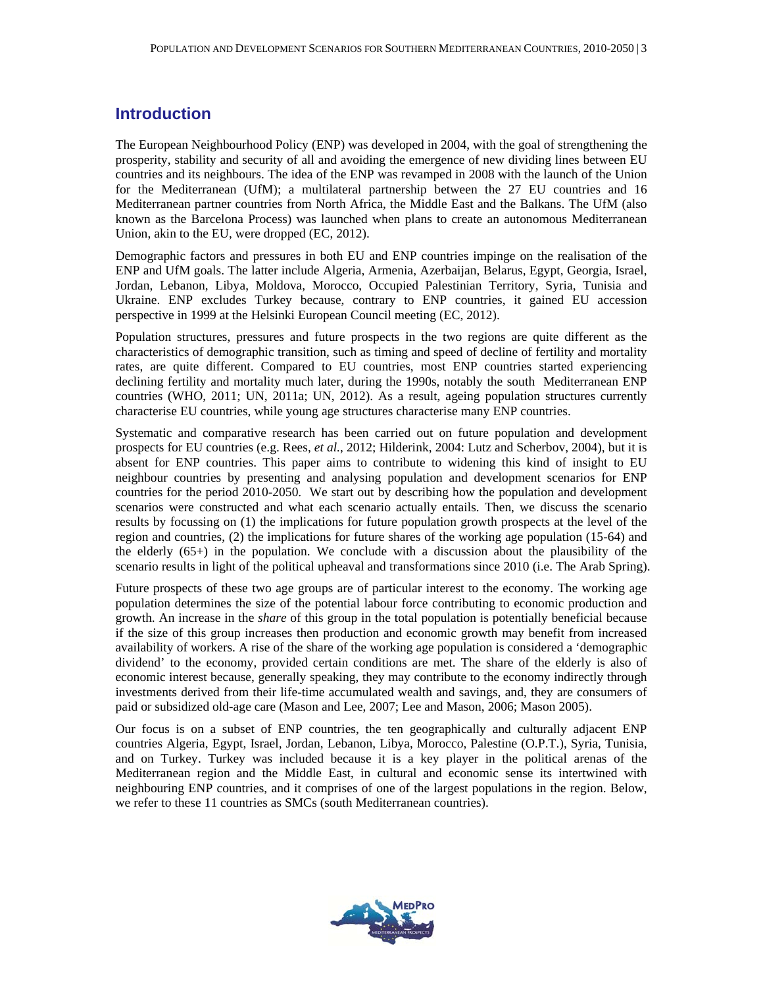#### **Introduction**

The European Neighbourhood Policy (ENP) was developed in 2004, with the goal of strengthening the prosperity, stability and security of all and avoiding the emergence of new dividing lines between EU countries and its neighbours. The idea of the ENP was revamped in 2008 with the launch of the Union for the Mediterranean (UfM); a multilateral partnership between the 27 EU countries and 16 Mediterranean partner countries from North Africa, the Middle East and the Balkans. The UfM (also known as the Barcelona Process) was launched when plans to create an autonomous Mediterranean Union, akin to the EU, were dropped (EC, 2012).

Demographic factors and pressures in both EU and ENP countries impinge on the realisation of the ENP and UfM goals. The latter include Algeria, Armenia, Azerbaijan, Belarus, Egypt, Georgia, Israel, Jordan, Lebanon, Libya, Moldova, Morocco, Occupied Palestinian Territory, Syria, Tunisia and Ukraine. ENP excludes Turkey because, contrary to ENP countries, it gained EU accession perspective in 1999 at the Helsinki European Council meeting (EC, 2012).

Population structures, pressures and future prospects in the two regions are quite different as the characteristics of demographic transition, such as timing and speed of decline of fertility and mortality rates, are quite different. Compared to EU countries, most ENP countries started experiencing declining fertility and mortality much later, during the 1990s, notably the south Mediterranean ENP countries (WHO, 2011; UN, 2011a; UN, 2012). As a result, ageing population structures currently characterise EU countries, while young age structures characterise many ENP countries.

Systematic and comparative research has been carried out on future population and development prospects for EU countries (e.g. Rees, *et al.*, 2012; Hilderink, 2004: Lutz and Scherbov, 2004), but it is absent for ENP countries. This paper aims to contribute to widening this kind of insight to EU neighbour countries by presenting and analysing population and development scenarios for ENP countries for the period 2010-2050. We start out by describing how the population and development scenarios were constructed and what each scenario actually entails. Then, we discuss the scenario results by focussing on (1) the implications for future population growth prospects at the level of the region and countries, (2) the implications for future shares of the working age population (15-64) and the elderly (65+) in the population. We conclude with a discussion about the plausibility of the scenario results in light of the political upheaval and transformations since 2010 (i.e. The Arab Spring).

Future prospects of these two age groups are of particular interest to the economy. The working age population determines the size of the potential labour force contributing to economic production and growth. An increase in the *share* of this group in the total population is potentially beneficial because if the size of this group increases then production and economic growth may benefit from increased availability of workers. A rise of the share of the working age population is considered a 'demographic dividend' to the economy, provided certain conditions are met. The share of the elderly is also of economic interest because, generally speaking, they may contribute to the economy indirectly through investments derived from their life-time accumulated wealth and savings, and, they are consumers of paid or subsidized old-age care (Mason and Lee, 2007; Lee and Mason, 2006; Mason 2005).

Our focus is on a subset of ENP countries, the ten geographically and culturally adjacent ENP countries Algeria, Egypt, Israel, Jordan, Lebanon, Libya, Morocco, Palestine (O.P.T.), Syria, Tunisia, and on Turkey. Turkey was included because it is a key player in the political arenas of the Mediterranean region and the Middle East, in cultural and economic sense its intertwined with neighbouring ENP countries, and it comprises of one of the largest populations in the region. Below, we refer to these 11 countries as SMCs (south Mediterranean countries).

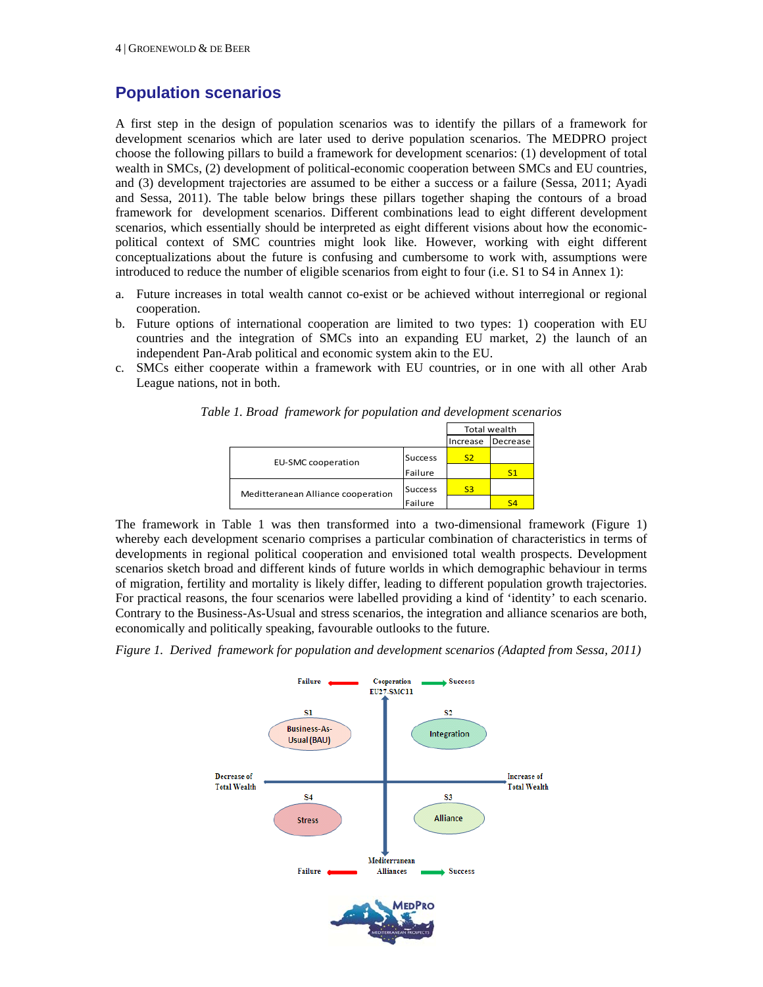### **Population scenarios**

A first step in the design of population scenarios was to identify the pillars of a framework for development scenarios which are later used to derive population scenarios. The MEDPRO project choose the following pillars to build a framework for development scenarios: (1) development of total wealth in SMCs, (2) development of political-economic cooperation between SMCs and EU countries, and (3) development trajectories are assumed to be either a success or a failure (Sessa, 2011; Ayadi and Sessa, 2011). The table below brings these pillars together shaping the contours of a broad framework for development scenarios. Different combinations lead to eight different development scenarios, which essentially should be interpreted as eight different visions about how the economicpolitical context of SMC countries might look like. However, working with eight different conceptualizations about the future is confusing and cumbersome to work with, assumptions were introduced to reduce the number of eligible scenarios from eight to four (i.e. S1 to S4 in Annex 1):

- a. Future increases in total wealth cannot co-exist or be achieved without interregional or regional cooperation.
- b. Future options of international cooperation are limited to two types: 1) cooperation with EU countries and the integration of SMCs into an expanding EU market, 2) the launch of an independent Pan-Arab political and economic system akin to the EU.
- c. SMCs either cooperate within a framework with EU countries, or in one with all other Arab League nations, not in both.

| re 1. Broad Trantenoru for population and development scenario |                |              |                   |  |
|----------------------------------------------------------------|----------------|--------------|-------------------|--|
|                                                                |                | Total wealth |                   |  |
|                                                                |                |              | Increase Decrease |  |
| EU-SMC cooperation                                             | <b>Success</b> |              |                   |  |
|                                                                |                |              |                   |  |

Meditteranean Alliance cooperation

Failure

Success <mark>S3</mark>

Failure | S4

*Table 1. Broad framework for population and development scenarios* 

The framework in Table 1 was then transformed into a two-dimensional framework (Figure 1) whereby each development scenario comprises a particular combination of characteristics in terms of developments in regional political cooperation and envisioned total wealth prospects. Development scenarios sketch broad and different kinds of future worlds in which demographic behaviour in terms of migration, fertility and mortality is likely differ, leading to different population growth trajectories. For practical reasons, the four scenarios were labelled providing a kind of 'identity' to each scenario. Contrary to the Business-As-Usual and stress scenarios, the integration and alliance scenarios are both, economically and politically speaking, favourable outlooks to the future.

*Figure 1. Derived framework for population and development scenarios (Adapted from Sessa, 2011)* 

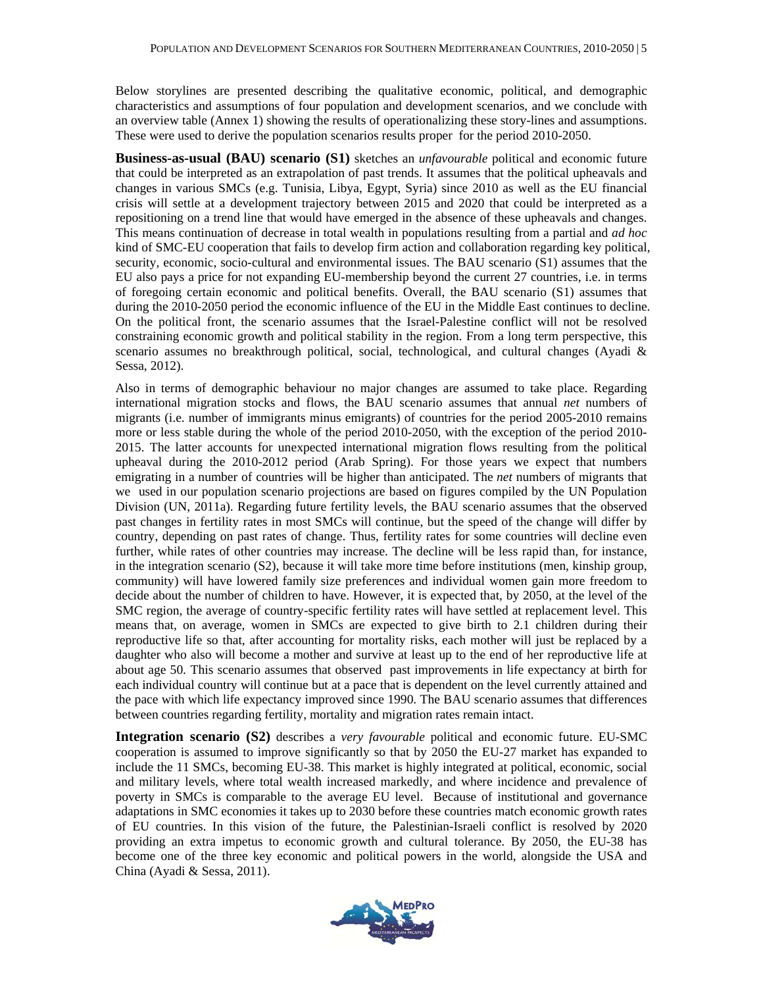Below storylines are presented describing the qualitative economic, political, and demographic characteristics and assumptions of four population and development scenarios, and we conclude with an overview table (Annex 1) showing the results of operationalizing these story-lines and assumptions. These were used to derive the population scenarios results proper for the period 2010-2050.

**Business-as-usual (BAU) scenario (S1)** sketches an *unfavourable* political and economic future that could be interpreted as an extrapolation of past trends. It assumes that the political upheavals and changes in various SMCs (e.g. Tunisia, Libya, Egypt, Syria) since 2010 as well as the EU financial crisis will settle at a development trajectory between 2015 and 2020 that could be interpreted as a repositioning on a trend line that would have emerged in the absence of these upheavals and changes. This means continuation of decrease in total wealth in populations resulting from a partial and *ad hoc* kind of SMC-EU cooperation that fails to develop firm action and collaboration regarding key political, security, economic, socio-cultural and environmental issues. The BAU scenario (S1) assumes that the EU also pays a price for not expanding EU-membership beyond the current 27 countries, i.e. in terms of foregoing certain economic and political benefits. Overall, the BAU scenario (S1) assumes that during the 2010-2050 period the economic influence of the EU in the Middle East continues to decline. On the political front, the scenario assumes that the Israel-Palestine conflict will not be resolved constraining economic growth and political stability in the region. From a long term perspective, this scenario assumes no breakthrough political, social, technological, and cultural changes (Ayadi & Sessa, 2012).

Also in terms of demographic behaviour no major changes are assumed to take place. Regarding international migration stocks and flows, the BAU scenario assumes that annual *net* numbers of migrants (i.e. number of immigrants minus emigrants) of countries for the period 2005-2010 remains more or less stable during the whole of the period 2010-2050, with the exception of the period 2010- 2015. The latter accounts for unexpected international migration flows resulting from the political upheaval during the 2010-2012 period (Arab Spring). For those years we expect that numbers emigrating in a number of countries will be higher than anticipated. The *net* numbers of migrants that we used in our population scenario projections are based on figures compiled by the UN Population Division (UN, 2011a). Regarding future fertility levels, the BAU scenario assumes that the observed past changes in fertility rates in most SMCs will continue, but the speed of the change will differ by country, depending on past rates of change. Thus, fertility rates for some countries will decline even further, while rates of other countries may increase. The decline will be less rapid than, for instance, in the integration scenario (S2), because it will take more time before institutions (men, kinship group, community) will have lowered family size preferences and individual women gain more freedom to decide about the number of children to have. However, it is expected that, by 2050, at the level of the SMC region, the average of country-specific fertility rates will have settled at replacement level. This means that, on average, women in SMCs are expected to give birth to 2.1 children during their reproductive life so that, after accounting for mortality risks, each mother will just be replaced by a daughter who also will become a mother and survive at least up to the end of her reproductive life at about age 50. This scenario assumes that observed past improvements in life expectancy at birth for each individual country will continue but at a pace that is dependent on the level currently attained and the pace with which life expectancy improved since 1990. The BAU scenario assumes that differences between countries regarding fertility, mortality and migration rates remain intact.

**Integration scenario (S2)** describes a *very favourable* political and economic future. EU-SMC cooperation is assumed to improve significantly so that by 2050 the EU-27 market has expanded to include the 11 SMCs, becoming EU-38. This market is highly integrated at political, economic, social and military levels, where total wealth increased markedly, and where incidence and prevalence of poverty in SMCs is comparable to the average EU level. Because of institutional and governance adaptations in SMC economies it takes up to 2030 before these countries match economic growth rates of EU countries. In this vision of the future, the Palestinian-Israeli conflict is resolved by 2020 providing an extra impetus to economic growth and cultural tolerance. By 2050, the EU-38 has become one of the three key economic and political powers in the world, alongside the USA and China (Ayadi & Sessa, 2011).

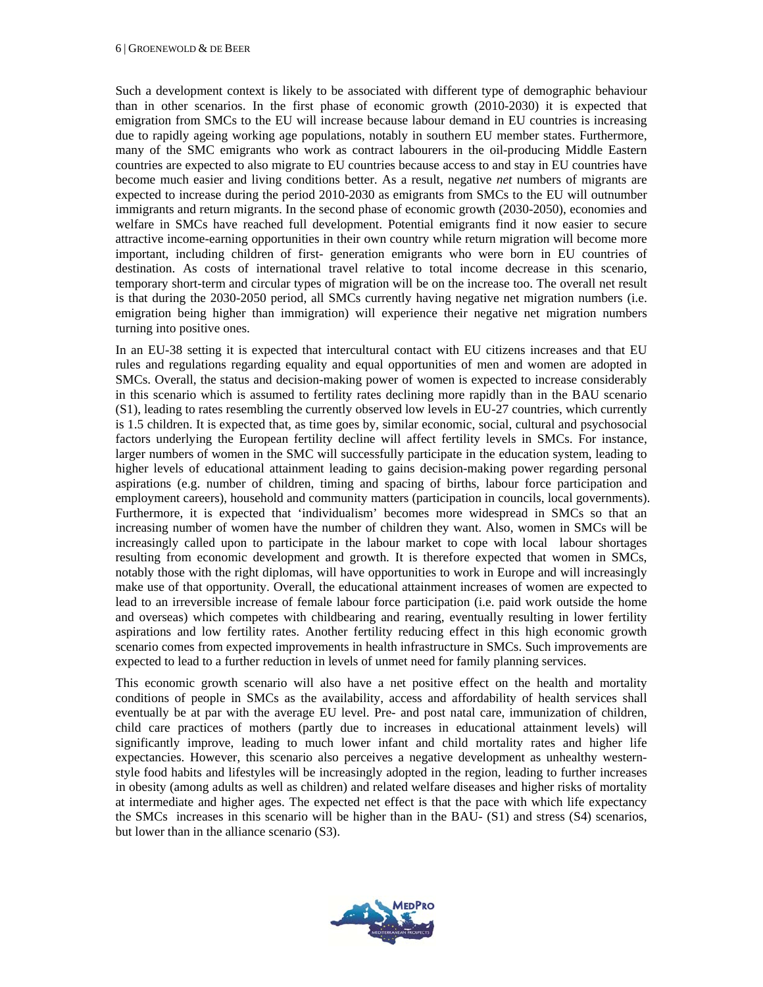Such a development context is likely to be associated with different type of demographic behaviour than in other scenarios. In the first phase of economic growth (2010-2030) it is expected that emigration from SMCs to the EU will increase because labour demand in EU countries is increasing due to rapidly ageing working age populations, notably in southern EU member states. Furthermore, many of the SMC emigrants who work as contract labourers in the oil-producing Middle Eastern countries are expected to also migrate to EU countries because access to and stay in EU countries have become much easier and living conditions better. As a result, negative *net* numbers of migrants are expected to increase during the period 2010-2030 as emigrants from SMCs to the EU will outnumber immigrants and return migrants. In the second phase of economic growth (2030-2050), economies and welfare in SMCs have reached full development. Potential emigrants find it now easier to secure attractive income-earning opportunities in their own country while return migration will become more important, including children of first- generation emigrants who were born in EU countries of destination. As costs of international travel relative to total income decrease in this scenario, temporary short-term and circular types of migration will be on the increase too. The overall net result is that during the 2030-2050 period, all SMCs currently having negative net migration numbers (i.e. emigration being higher than immigration) will experience their negative net migration numbers turning into positive ones.

In an EU-38 setting it is expected that intercultural contact with EU citizens increases and that EU rules and regulations regarding equality and equal opportunities of men and women are adopted in SMCs. Overall, the status and decision-making power of women is expected to increase considerably in this scenario which is assumed to fertility rates declining more rapidly than in the BAU scenario (S1), leading to rates resembling the currently observed low levels in EU-27 countries, which currently is 1.5 children. It is expected that, as time goes by, similar economic, social, cultural and psychosocial factors underlying the European fertility decline will affect fertility levels in SMCs. For instance, larger numbers of women in the SMC will successfully participate in the education system, leading to higher levels of educational attainment leading to gains decision-making power regarding personal aspirations (e.g. number of children, timing and spacing of births, labour force participation and employment careers), household and community matters (participation in councils, local governments). Furthermore, it is expected that 'individualism' becomes more widespread in SMCs so that an increasing number of women have the number of children they want. Also, women in SMCs will be increasingly called upon to participate in the labour market to cope with local labour shortages resulting from economic development and growth. It is therefore expected that women in SMCs, notably those with the right diplomas, will have opportunities to work in Europe and will increasingly make use of that opportunity. Overall, the educational attainment increases of women are expected to lead to an irreversible increase of female labour force participation (i.e. paid work outside the home and overseas) which competes with childbearing and rearing, eventually resulting in lower fertility aspirations and low fertility rates. Another fertility reducing effect in this high economic growth scenario comes from expected improvements in health infrastructure in SMCs. Such improvements are expected to lead to a further reduction in levels of unmet need for family planning services.

This economic growth scenario will also have a net positive effect on the health and mortality conditions of people in SMCs as the availability, access and affordability of health services shall eventually be at par with the average EU level. Pre- and post natal care, immunization of children, child care practices of mothers (partly due to increases in educational attainment levels) will significantly improve, leading to much lower infant and child mortality rates and higher life expectancies. However, this scenario also perceives a negative development as unhealthy westernstyle food habits and lifestyles will be increasingly adopted in the region, leading to further increases in obesity (among adults as well as children) and related welfare diseases and higher risks of mortality at intermediate and higher ages. The expected net effect is that the pace with which life expectancy the SMCs increases in this scenario will be higher than in the BAU- (S1) and stress (S4) scenarios, but lower than in the alliance scenario (S3).

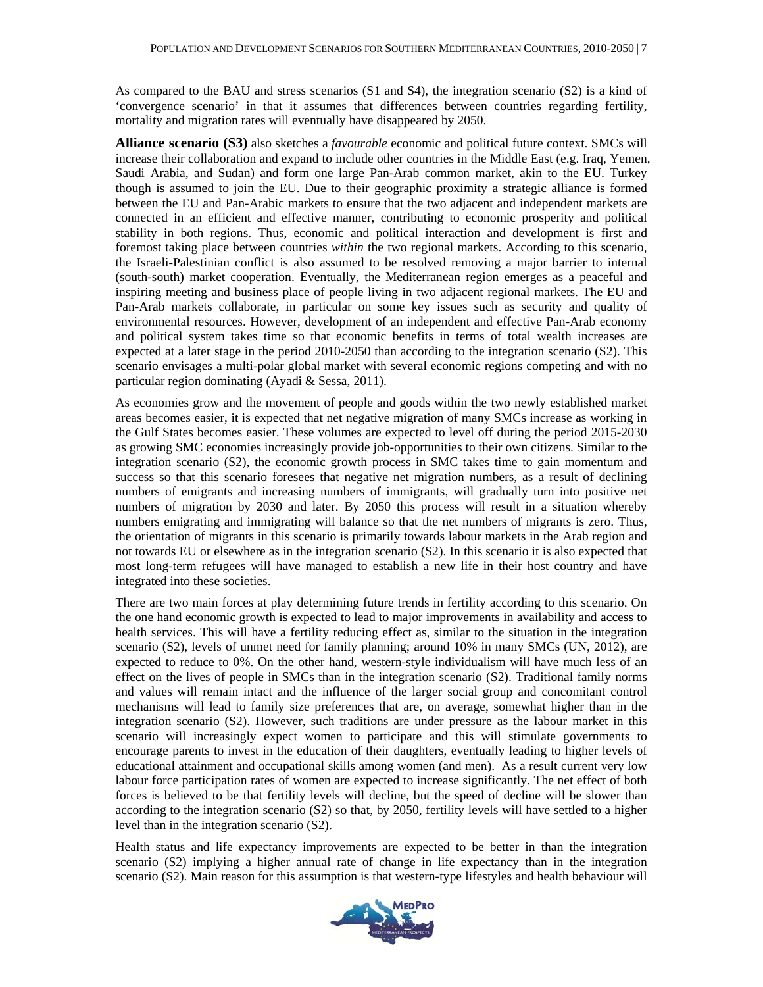As compared to the BAU and stress scenarios (S1 and S4), the integration scenario (S2) is a kind of 'convergence scenario' in that it assumes that differences between countries regarding fertility, mortality and migration rates will eventually have disappeared by 2050.

**Alliance scenario (S3)** also sketches a *favourable* economic and political future context. SMCs will increase their collaboration and expand to include other countries in the Middle East (e.g. Iraq, Yemen, Saudi Arabia, and Sudan) and form one large Pan-Arab common market, akin to the EU. Turkey though is assumed to join the EU. Due to their geographic proximity a strategic alliance is formed between the EU and Pan-Arabic markets to ensure that the two adjacent and independent markets are connected in an efficient and effective manner, contributing to economic prosperity and political stability in both regions. Thus, economic and political interaction and development is first and foremost taking place between countries *within* the two regional markets. According to this scenario, the Israeli-Palestinian conflict is also assumed to be resolved removing a major barrier to internal (south-south) market cooperation. Eventually, the Mediterranean region emerges as a peaceful and inspiring meeting and business place of people living in two adjacent regional markets. The EU and Pan-Arab markets collaborate, in particular on some key issues such as security and quality of environmental resources. However, development of an independent and effective Pan-Arab economy and political system takes time so that economic benefits in terms of total wealth increases are expected at a later stage in the period 2010-2050 than according to the integration scenario (S2). This scenario envisages a multi-polar global market with several economic regions competing and with no particular region dominating (Ayadi & Sessa, 2011).

As economies grow and the movement of people and goods within the two newly established market areas becomes easier, it is expected that net negative migration of many SMCs increase as working in the Gulf States becomes easier. These volumes are expected to level off during the period 2015-2030 as growing SMC economies increasingly provide job-opportunities to their own citizens. Similar to the integration scenario (S2), the economic growth process in SMC takes time to gain momentum and success so that this scenario foresees that negative net migration numbers, as a result of declining numbers of emigrants and increasing numbers of immigrants, will gradually turn into positive net numbers of migration by 2030 and later. By 2050 this process will result in a situation whereby numbers emigrating and immigrating will balance so that the net numbers of migrants is zero. Thus, the orientation of migrants in this scenario is primarily towards labour markets in the Arab region and not towards EU or elsewhere as in the integration scenario (S2). In this scenario it is also expected that most long-term refugees will have managed to establish a new life in their host country and have integrated into these societies.

There are two main forces at play determining future trends in fertility according to this scenario. On the one hand economic growth is expected to lead to major improvements in availability and access to health services. This will have a fertility reducing effect as, similar to the situation in the integration scenario (S2), levels of unmet need for family planning; around 10% in many SMCs (UN, 2012), are expected to reduce to 0%. On the other hand, western-style individualism will have much less of an effect on the lives of people in SMCs than in the integration scenario (S2). Traditional family norms and values will remain intact and the influence of the larger social group and concomitant control mechanisms will lead to family size preferences that are, on average, somewhat higher than in the integration scenario (S2). However, such traditions are under pressure as the labour market in this scenario will increasingly expect women to participate and this will stimulate governments to encourage parents to invest in the education of their daughters, eventually leading to higher levels of educational attainment and occupational skills among women (and men). As a result current very low labour force participation rates of women are expected to increase significantly. The net effect of both forces is believed to be that fertility levels will decline, but the speed of decline will be slower than according to the integration scenario (S2) so that, by 2050, fertility levels will have settled to a higher level than in the integration scenario (S2).

Health status and life expectancy improvements are expected to be better in than the integration scenario (S2) implying a higher annual rate of change in life expectancy than in the integration scenario (S2). Main reason for this assumption is that western-type lifestyles and health behaviour will

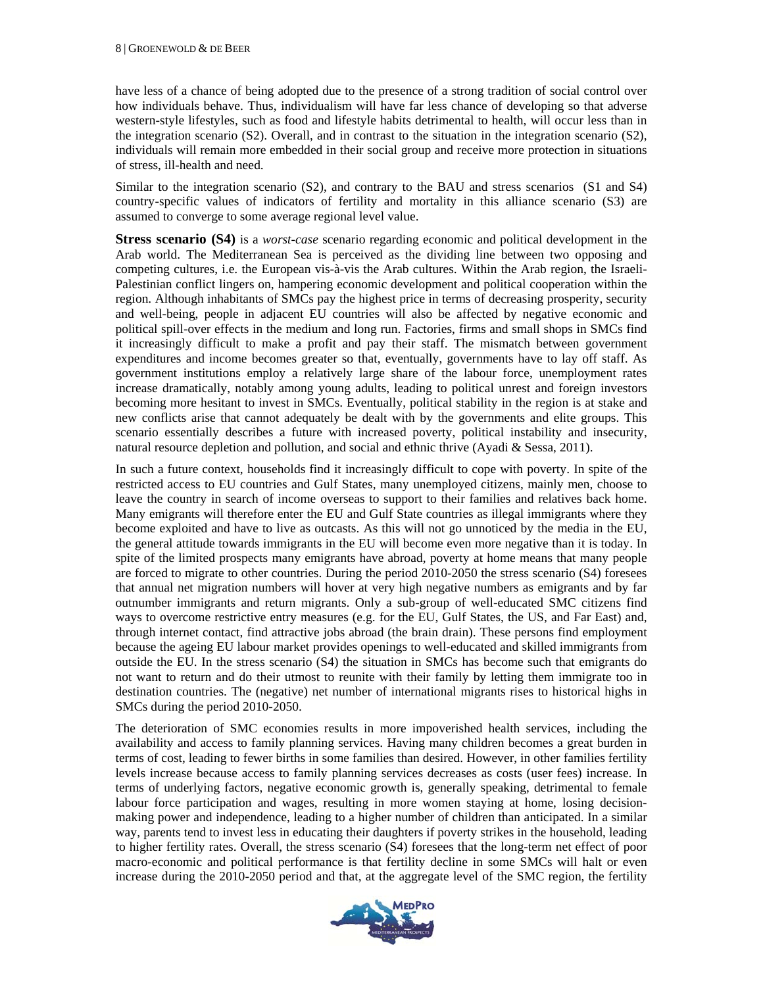have less of a chance of being adopted due to the presence of a strong tradition of social control over how individuals behave. Thus, individualism will have far less chance of developing so that adverse western-style lifestyles, such as food and lifestyle habits detrimental to health, will occur less than in the integration scenario (S2). Overall, and in contrast to the situation in the integration scenario (S2), individuals will remain more embedded in their social group and receive more protection in situations of stress, ill-health and need.

Similar to the integration scenario (S2), and contrary to the BAU and stress scenarios (S1 and S4) country-specific values of indicators of fertility and mortality in this alliance scenario (S3) are assumed to converge to some average regional level value.

**Stress scenario (S4)** is a *worst-case* scenario regarding economic and political development in the Arab world. The Mediterranean Sea is perceived as the dividing line between two opposing and competing cultures, i.e. the European vis-à-vis the Arab cultures. Within the Arab region, the Israeli-Palestinian conflict lingers on, hampering economic development and political cooperation within the region. Although inhabitants of SMCs pay the highest price in terms of decreasing prosperity, security and well-being, people in adjacent EU countries will also be affected by negative economic and political spill-over effects in the medium and long run. Factories, firms and small shops in SMCs find it increasingly difficult to make a profit and pay their staff. The mismatch between government expenditures and income becomes greater so that, eventually, governments have to lay off staff. As government institutions employ a relatively large share of the labour force, unemployment rates increase dramatically, notably among young adults, leading to political unrest and foreign investors becoming more hesitant to invest in SMCs. Eventually, political stability in the region is at stake and new conflicts arise that cannot adequately be dealt with by the governments and elite groups. This scenario essentially describes a future with increased poverty, political instability and insecurity, natural resource depletion and pollution, and social and ethnic thrive (Ayadi & Sessa, 2011).

In such a future context, households find it increasingly difficult to cope with poverty. In spite of the restricted access to EU countries and Gulf States, many unemployed citizens, mainly men, choose to leave the country in search of income overseas to support to their families and relatives back home. Many emigrants will therefore enter the EU and Gulf State countries as illegal immigrants where they become exploited and have to live as outcasts. As this will not go unnoticed by the media in the EU, the general attitude towards immigrants in the EU will become even more negative than it is today. In spite of the limited prospects many emigrants have abroad, poverty at home means that many people are forced to migrate to other countries. During the period 2010-2050 the stress scenario (S4) foresees that annual net migration numbers will hover at very high negative numbers as emigrants and by far outnumber immigrants and return migrants. Only a sub-group of well-educated SMC citizens find ways to overcome restrictive entry measures (e.g. for the EU, Gulf States, the US, and Far East) and, through internet contact, find attractive jobs abroad (the brain drain). These persons find employment because the ageing EU labour market provides openings to well-educated and skilled immigrants from outside the EU. In the stress scenario (S4) the situation in SMCs has become such that emigrants do not want to return and do their utmost to reunite with their family by letting them immigrate too in destination countries. The (negative) net number of international migrants rises to historical highs in SMCs during the period 2010-2050.

The deterioration of SMC economies results in more impoverished health services, including the availability and access to family planning services. Having many children becomes a great burden in terms of cost, leading to fewer births in some families than desired. However, in other families fertility levels increase because access to family planning services decreases as costs (user fees) increase. In terms of underlying factors, negative economic growth is, generally speaking, detrimental to female labour force participation and wages, resulting in more women staying at home, losing decisionmaking power and independence, leading to a higher number of children than anticipated. In a similar way, parents tend to invest less in educating their daughters if poverty strikes in the household, leading to higher fertility rates. Overall, the stress scenario (S4) foresees that the long-term net effect of poor macro-economic and political performance is that fertility decline in some SMCs will halt or even increase during the 2010-2050 period and that, at the aggregate level of the SMC region, the fertility

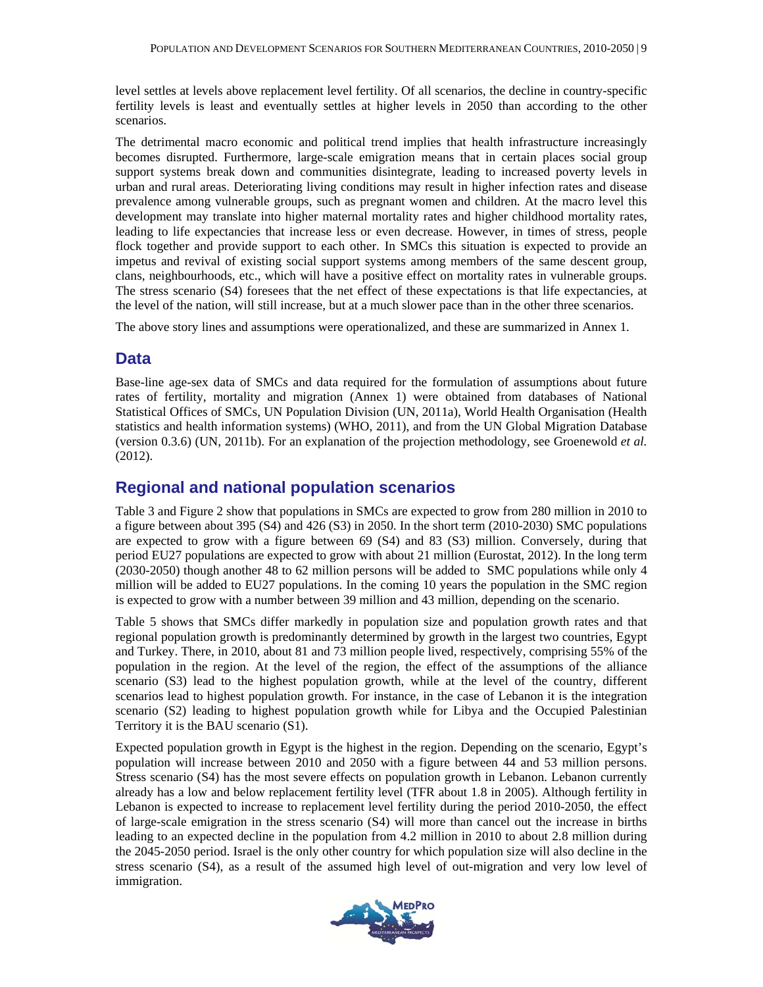level settles at levels above replacement level fertility. Of all scenarios, the decline in country-specific fertility levels is least and eventually settles at higher levels in 2050 than according to the other scenarios.

The detrimental macro economic and political trend implies that health infrastructure increasingly becomes disrupted. Furthermore, large-scale emigration means that in certain places social group support systems break down and communities disintegrate, leading to increased poverty levels in urban and rural areas. Deteriorating living conditions may result in higher infection rates and disease prevalence among vulnerable groups, such as pregnant women and children. At the macro level this development may translate into higher maternal mortality rates and higher childhood mortality rates, leading to life expectancies that increase less or even decrease. However, in times of stress, people flock together and provide support to each other. In SMCs this situation is expected to provide an impetus and revival of existing social support systems among members of the same descent group, clans, neighbourhoods, etc., which will have a positive effect on mortality rates in vulnerable groups. The stress scenario (S4) foresees that the net effect of these expectations is that life expectancies, at the level of the nation, will still increase, but at a much slower pace than in the other three scenarios.

The above story lines and assumptions were operationalized, and these are summarized in Annex 1.

#### **Data**

Base-line age-sex data of SMCs and data required for the formulation of assumptions about future rates of fertility, mortality and migration (Annex 1) were obtained from databases of National Statistical Offices of SMCs, UN Population Division (UN, 2011a), World Health Organisation (Health statistics and health information systems) (WHO, 2011), and from the UN Global Migration Database (version 0.3.6) (UN, 2011b). For an explanation of the projection methodology, see Groenewold *et al.*  (2012).

#### **Regional and national population scenarios**

Table 3 and Figure 2 show that populations in SMCs are expected to grow from 280 million in 2010 to a figure between about 395 (S4) and 426 (S3) in 2050. In the short term (2010-2030) SMC populations are expected to grow with a figure between 69 (S4) and 83 (S3) million. Conversely, during that period EU27 populations are expected to grow with about 21 million (Eurostat, 2012). In the long term (2030-2050) though another 48 to 62 million persons will be added to SMC populations while only 4 million will be added to EU27 populations. In the coming 10 years the population in the SMC region is expected to grow with a number between 39 million and 43 million, depending on the scenario.

Table 5 shows that SMCs differ markedly in population size and population growth rates and that regional population growth is predominantly determined by growth in the largest two countries, Egypt and Turkey. There, in 2010, about 81 and 73 million people lived, respectively, comprising 55% of the population in the region. At the level of the region, the effect of the assumptions of the alliance scenario (S3) lead to the highest population growth, while at the level of the country, different scenarios lead to highest population growth. For instance, in the case of Lebanon it is the integration scenario (S2) leading to highest population growth while for Libya and the Occupied Palestinian Territory it is the BAU scenario (S1).

Expected population growth in Egypt is the highest in the region. Depending on the scenario, Egypt's population will increase between 2010 and 2050 with a figure between 44 and 53 million persons. Stress scenario (S4) has the most severe effects on population growth in Lebanon. Lebanon currently already has a low and below replacement fertility level (TFR about 1.8 in 2005). Although fertility in Lebanon is expected to increase to replacement level fertility during the period 2010-2050, the effect of large-scale emigration in the stress scenario (S4) will more than cancel out the increase in births leading to an expected decline in the population from 4.2 million in 2010 to about 2.8 million during the 2045-2050 period. Israel is the only other country for which population size will also decline in the stress scenario (S4), as a result of the assumed high level of out-migration and very low level of immigration.

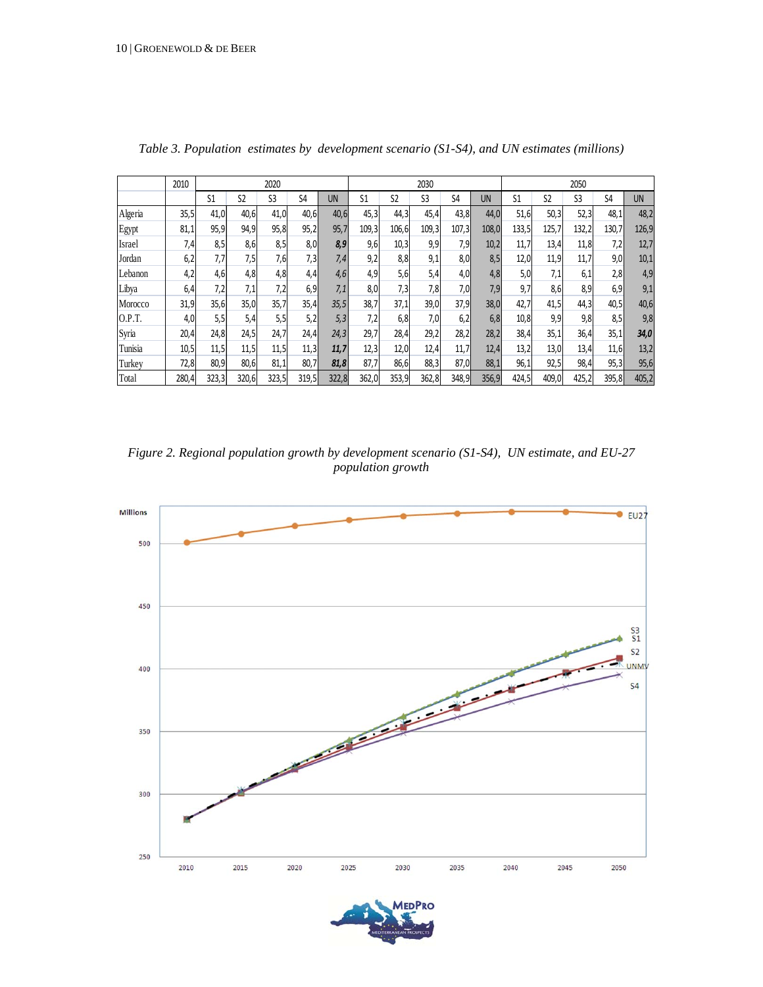|         | 2010  | 2020  |                |                |       | 2030  |                |                | 2050           |                |       |                |                |                |                |       |
|---------|-------|-------|----------------|----------------|-------|-------|----------------|----------------|----------------|----------------|-------|----------------|----------------|----------------|----------------|-------|
|         |       | S1    | S <sub>2</sub> | S <sub>3</sub> | S4    | UN    | S <sub>1</sub> | S <sub>2</sub> | S <sub>3</sub> | S <sub>4</sub> | UN    | S <sub>1</sub> | S <sub>2</sub> | S <sub>3</sub> | S <sub>4</sub> | UN    |
| Algeria | 35,5  | 41,0  | 40,6           | 41,0           | 40,6  | 40,6  | 45,3           | 44,3           | 45,4           | 43,8           | 44,0  | 51,6           | 50,3           | 52,3           | 48,1           | 48,2  |
| Egypt   | 81,1  | 95,9  | 94,9           | 95,8           | 95,2  | 95,7  | 109,3          | 106,6          | 109,3          | 107,3          | 108,0 | 133,5          | 125,7          | 132,2          | 130,7          | 126,9 |
| Israel  | 7,4   | 8,5   | 8,6            | 8,5            | 8,0   | 8,9   | 9,6            | 10,3           | 9,9            | 7,9            | 10,2  | 11,7           | 13,4           | 11,8           | 7,2            | 12,7  |
| Jordan  | 6,2   | 7,7   | 7,5            | 7,6            | 7,3   | 7,4   | 9,2            | 8,8            | 9,1            | 8,0            | 8,5   | 12,0           | 11,9           | 11,7           | 9,0            | 10,1  |
| Lebanon | 4,2   | 4,6   | 4,8            | 4,8            | 4,4   | 4,6   | 4,9            | 5,6            | 5,4            | 4,0            | 4,8   | 5,0            | 7,1            | 6,1            | 2,8            | 4,9   |
| Libya   | 6,4   | 7,2   | 7,1            | 7,2            | 6,9   | 7,1   | 8,0            | 7,3            | 7,8            | 7,0            | 7,9   | 9,7            | 8,6            | 8,9            | 6,9            | 9,1   |
| Morocco | 31,9  | 35,6  | 35,0           | 35,7           | 35,4  | 35,5  | 38,7           | 37,1           | 39,0           | 37,9           | 38,0  | 42,7           | 41,5           | 44,3           | 40,5           | 40,6  |
| O.P.T.  | 4,0   | 5,5   | 5,4            | 5,5            | 5,2   | 5,3   | 7,2            | 6,8            | 7,0            | 6,2            | 6,8   | 10,8           | 9,9            | 9,8            | 8,5            | 9,8   |
| Syria   | 20,4  | 24,8  | 24,5           | 24,7           | 24,4  | 24,3  | 29,7           | 28,4           | 29,2           | 28,2           | 28,2  | 38,4           | 35,1           | 36,4           | 35,1           | 34,0  |
| Tunisia | 10,5  | 11,5  | 11,5           | 11,5           | 11,3  | 11,7  | 12,3           | 12,0           | 12,4           | 11,7           | 12,4  | 13,2           | 13,0           | 13,4           | 11,6           | 13,2  |
| Turkey  | 72,8  | 80,9  | 80,6           | 81,1           | 80,7  | 81,8  | 87,7           | 86,6           | 88,3           | 87,0           | 88,1  | 96,1           | 92,5           | 98,4           | 95,3           | 95,6  |
| Total   | 280,4 | 323,3 | 320,6          | 323,5          | 319,5 | 322,8 | 362,0          | 353,9          | 362,8          | 348,9          | 356,9 | 424,5          | 409,0          | 425,2          | 395,8          | 405,2 |

*Table 3. Population estimates by development scenario (S1-S4), and UN estimates (millions)* 

*Figure 2. Regional population growth by development scenario (S1-S4), UN estimate, and EU-27 population growth* 



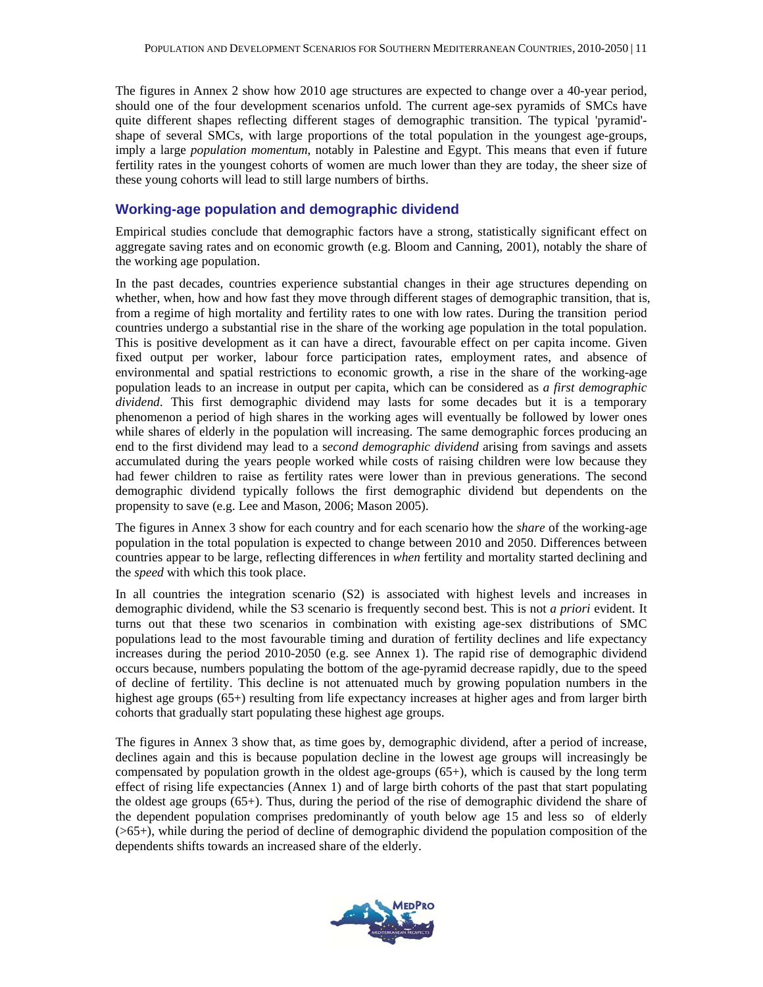The figures in Annex 2 show how 2010 age structures are expected to change over a 40-year period, should one of the four development scenarios unfold. The current age-sex pyramids of SMCs have quite different shapes reflecting different stages of demographic transition. The typical 'pyramid' shape of several SMCs, with large proportions of the total population in the youngest age-groups, imply a large *population momentum*, notably in Palestine and Egypt. This means that even if future fertility rates in the youngest cohorts of women are much lower than they are today, the sheer size of these young cohorts will lead to still large numbers of births.

#### **Working-age population and demographic dividend**

Empirical studies conclude that demographic factors have a strong, statistically significant effect on aggregate saving rates and on economic growth (e.g. Bloom and Canning, 2001), notably the share of the working age population.

In the past decades, countries experience substantial changes in their age structures depending on whether, when, how and how fast they move through different stages of demographic transition, that is, from a regime of high mortality and fertility rates to one with low rates. During the transition period countries undergo a substantial rise in the share of the working age population in the total population. This is positive development as it can have a direct, favourable effect on per capita income. Given fixed output per worker, labour force participation rates, employment rates, and absence of environmental and spatial restrictions to economic growth, a rise in the share of the working-age population leads to an increase in output per capita, which can be considered as *a first demographic dividend*. This first demographic dividend may lasts for some decades but it is a temporary phenomenon a period of high shares in the working ages will eventually be followed by lower ones while shares of elderly in the population will increasing. The same demographic forces producing an end to the first dividend may lead to a s*econd demographic dividend* arising from savings and assets accumulated during the years people worked while costs of raising children were low because they had fewer children to raise as fertility rates were lower than in previous generations. The second demographic dividend typically follows the first demographic dividend but dependents on the propensity to save (e.g. Lee and Mason, 2006; Mason 2005).

The figures in Annex 3 show for each country and for each scenario how the *share* of the working-age population in the total population is expected to change between 2010 and 2050. Differences between countries appear to be large, reflecting differences in *when* fertility and mortality started declining and the *speed* with which this took place.

In all countries the integration scenario (S2) is associated with highest levels and increases in demographic dividend, while the S3 scenario is frequently second best. This is not *a priori* evident. It turns out that these two scenarios in combination with existing age-sex distributions of SMC populations lead to the most favourable timing and duration of fertility declines and life expectancy increases during the period 2010-2050 (e.g. see Annex 1). The rapid rise of demographic dividend occurs because, numbers populating the bottom of the age-pyramid decrease rapidly, due to the speed of decline of fertility. This decline is not attenuated much by growing population numbers in the highest age groups (65+) resulting from life expectancy increases at higher ages and from larger birth cohorts that gradually start populating these highest age groups.

The figures in Annex 3 show that, as time goes by, demographic dividend, after a period of increase, declines again and this is because population decline in the lowest age groups will increasingly be compensated by population growth in the oldest age-groups (65+), which is caused by the long term effect of rising life expectancies (Annex 1) and of large birth cohorts of the past that start populating the oldest age groups (65+). Thus, during the period of the rise of demographic dividend the share of the dependent population comprises predominantly of youth below age 15 and less so of elderly  $(\geq 65+)$ , while during the period of decline of demographic dividend the population composition of the dependents shifts towards an increased share of the elderly.

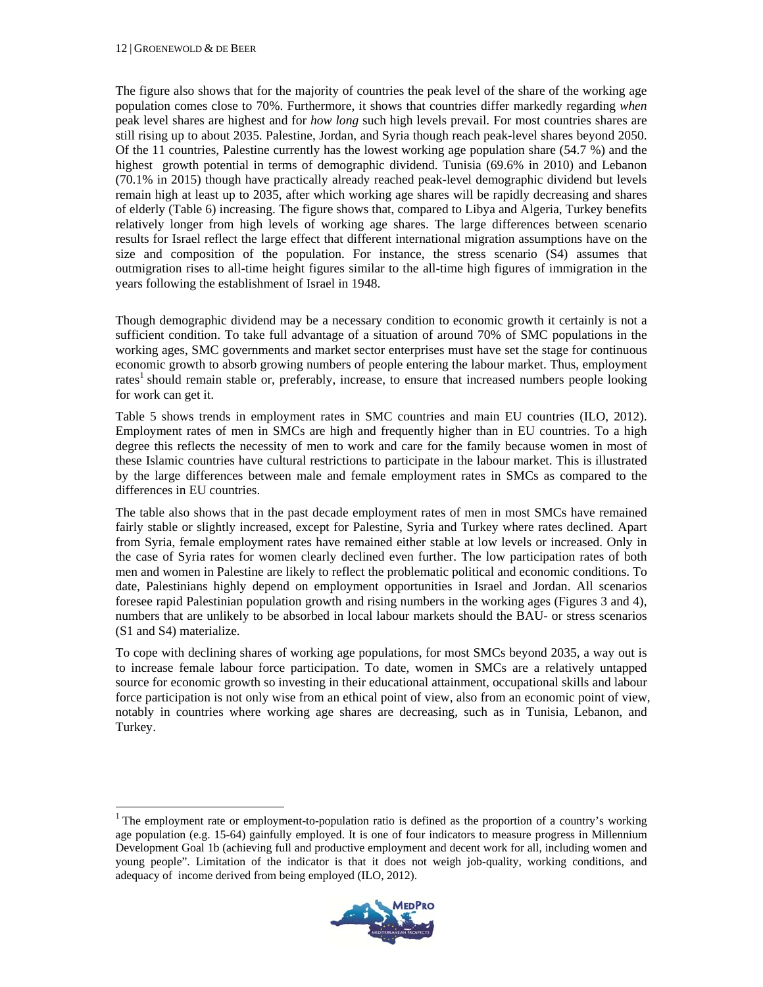l

The figure also shows that for the majority of countries the peak level of the share of the working age population comes close to 70%. Furthermore, it shows that countries differ markedly regarding *when*  peak level shares are highest and for *how long* such high levels prevail. For most countries shares are still rising up to about 2035. Palestine, Jordan, and Syria though reach peak-level shares beyond 2050. Of the 11 countries, Palestine currently has the lowest working age population share (54.7 %) and the highest growth potential in terms of demographic dividend. Tunisia (69.6% in 2010) and Lebanon (70.1% in 2015) though have practically already reached peak-level demographic dividend but levels remain high at least up to 2035, after which working age shares will be rapidly decreasing and shares of elderly (Table 6) increasing. The figure shows that, compared to Libya and Algeria, Turkey benefits relatively longer from high levels of working age shares. The large differences between scenario results for Israel reflect the large effect that different international migration assumptions have on the size and composition of the population. For instance, the stress scenario (S4) assumes that outmigration rises to all-time height figures similar to the all-time high figures of immigration in the years following the establishment of Israel in 1948.

Though demographic dividend may be a necessary condition to economic growth it certainly is not a sufficient condition. To take full advantage of a situation of around 70% of SMC populations in the working ages, SMC governments and market sector enterprises must have set the stage for continuous economic growth to absorb growing numbers of people entering the labour market. Thus, employment rates<sup>1</sup> should remain stable or, preferably, increase, to ensure that increased numbers people looking for work can get it.

Table 5 shows trends in employment rates in SMC countries and main EU countries (ILO, 2012). Employment rates of men in SMCs are high and frequently higher than in EU countries. To a high degree this reflects the necessity of men to work and care for the family because women in most of these Islamic countries have cultural restrictions to participate in the labour market. This is illustrated by the large differences between male and female employment rates in SMCs as compared to the differences in EU countries.

The table also shows that in the past decade employment rates of men in most SMCs have remained fairly stable or slightly increased, except for Palestine, Syria and Turkey where rates declined. Apart from Syria, female employment rates have remained either stable at low levels or increased. Only in the case of Syria rates for women clearly declined even further. The low participation rates of both men and women in Palestine are likely to reflect the problematic political and economic conditions. To date, Palestinians highly depend on employment opportunities in Israel and Jordan. All scenarios foresee rapid Palestinian population growth and rising numbers in the working ages (Figures 3 and 4), numbers that are unlikely to be absorbed in local labour markets should the BAU- or stress scenarios (S1 and S4) materialize.

To cope with declining shares of working age populations, for most SMCs beyond 2035, a way out is to increase female labour force participation. To date, women in SMCs are a relatively untapped source for economic growth so investing in their educational attainment, occupational skills and labour force participation is not only wise from an ethical point of view, also from an economic point of view, notably in countries where working age shares are decreasing, such as in Tunisia, Lebanon, and Turkey.

<sup>&</sup>lt;sup>1</sup> The employment rate or employment-to-population ratio is defined as the proportion of a country's working age population (e.g. 15-64) gainfully employed. It is one of four indicators to measure progress in Millennium Development Goal 1b (achieving full and productive employment and decent work for all, including women and young people". Limitation of the indicator is that it does not weigh job-quality, working conditions, and adequacy of income derived from being employed (ILO, 2012).

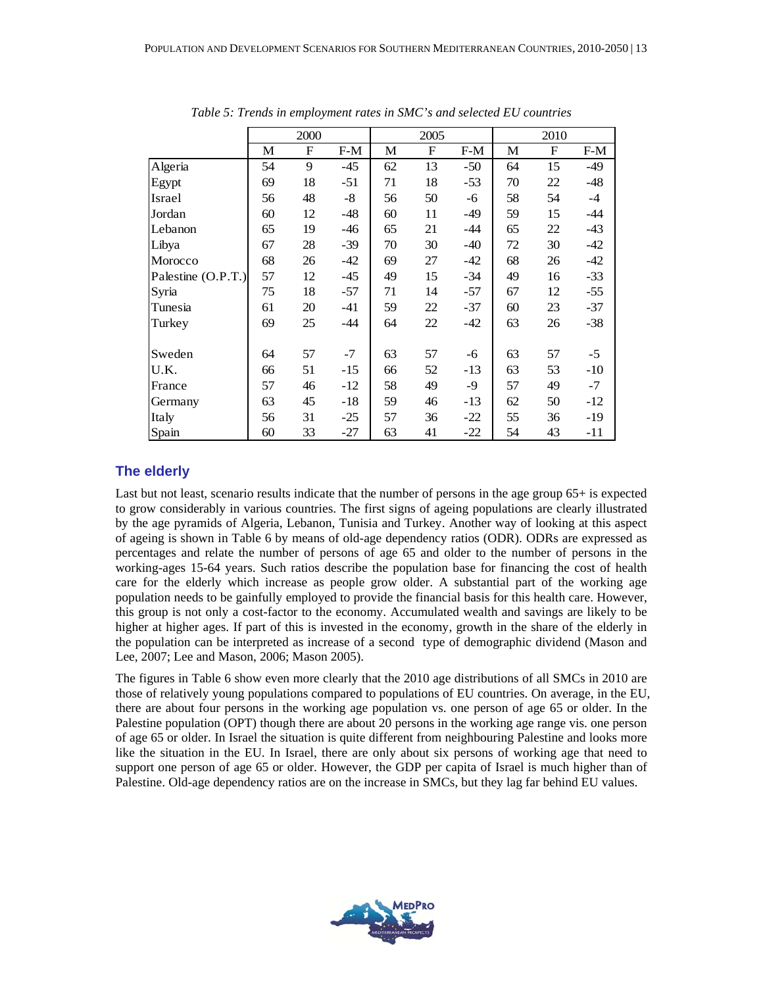|                    |    | 2000 |       |    | 2005 |       |    | 2010        |       |
|--------------------|----|------|-------|----|------|-------|----|-------------|-------|
|                    | M  | F    | $F-M$ | M  | F    | $F-M$ | M  | $\mathbf F$ | $F-M$ |
| Algeria            | 54 | 9    | $-45$ | 62 | 13   | $-50$ | 64 | 15          | $-49$ |
| Egypt              | 69 | 18   | $-51$ | 71 | 18   | $-53$ | 70 | 22          | $-48$ |
| Israel             | 56 | 48   | $-8$  | 56 | 50   | -6    | 58 | 54          | $-4$  |
| Jordan             | 60 | 12   | $-48$ | 60 | 11   | -49   | 59 | 15          | $-44$ |
| Lebanon            | 65 | 19   | $-46$ | 65 | 21   | $-44$ | 65 | 22          | $-43$ |
| Libya              | 67 | 28   | $-39$ | 70 | 30   | $-40$ | 72 | 30          | $-42$ |
| Morocco            | 68 | 26   | $-42$ | 69 | 27   | $-42$ | 68 | 26          | $-42$ |
| Palestine (O.P.T.) | 57 | 12   | $-45$ | 49 | 15   | $-34$ | 49 | 16          | $-33$ |
| Syria              | 75 | 18   | $-57$ | 71 | 14   | $-57$ | 67 | 12          | $-55$ |
| Tunesia            | 61 | 20   | $-41$ | 59 | 22   | $-37$ | 60 | 23          | $-37$ |
| Turkey             | 69 | 25   | $-44$ | 64 | 22   | $-42$ | 63 | 26          | $-38$ |
|                    |    |      |       |    |      |       |    |             |       |
| Sweden             | 64 | 57   | $-7$  | 63 | 57   | -6    | 63 | 57          | $-5$  |
| U.K.               | 66 | 51   | $-15$ | 66 | 52   | $-13$ | 63 | 53          | $-10$ |
| France             | 57 | 46   | $-12$ | 58 | 49   | -9    | 57 | 49          | $-7$  |
| Germany            | 63 | 45   | $-18$ | 59 | 46   | $-13$ | 62 | 50          | $-12$ |
| Italy              | 56 | 31   | $-25$ | 57 | 36   | $-22$ | 55 | 36          | $-19$ |
| Spain              | 60 | 33   | $-27$ | 63 | 41   | $-22$ | 54 | 43          | $-11$ |

*Table 5: Trends in employment rates in SMC's and selected EU countries* 

#### **The elderly**

Last but not least, scenario results indicate that the number of persons in the age group 65+ is expected to grow considerably in various countries. The first signs of ageing populations are clearly illustrated by the age pyramids of Algeria, Lebanon, Tunisia and Turkey. Another way of looking at this aspect of ageing is shown in Table 6 by means of old-age dependency ratios (ODR). ODRs are expressed as percentages and relate the number of persons of age 65 and older to the number of persons in the working-ages 15-64 years. Such ratios describe the population base for financing the cost of health care for the elderly which increase as people grow older. A substantial part of the working age population needs to be gainfully employed to provide the financial basis for this health care. However, this group is not only a cost-factor to the economy. Accumulated wealth and savings are likely to be higher at higher ages. If part of this is invested in the economy, growth in the share of the elderly in the population can be interpreted as increase of a second type of demographic dividend (Mason and Lee, 2007; Lee and Mason, 2006; Mason 2005).

The figures in Table 6 show even more clearly that the 2010 age distributions of all SMCs in 2010 are those of relatively young populations compared to populations of EU countries. On average, in the EU, there are about four persons in the working age population vs. one person of age 65 or older. In the Palestine population (OPT) though there are about 20 persons in the working age range vis. one person of age 65 or older. In Israel the situation is quite different from neighbouring Palestine and looks more like the situation in the EU. In Israel, there are only about six persons of working age that need to support one person of age 65 or older. However, the GDP per capita of Israel is much higher than of Palestine. Old-age dependency ratios are on the increase in SMCs, but they lag far behind EU values.

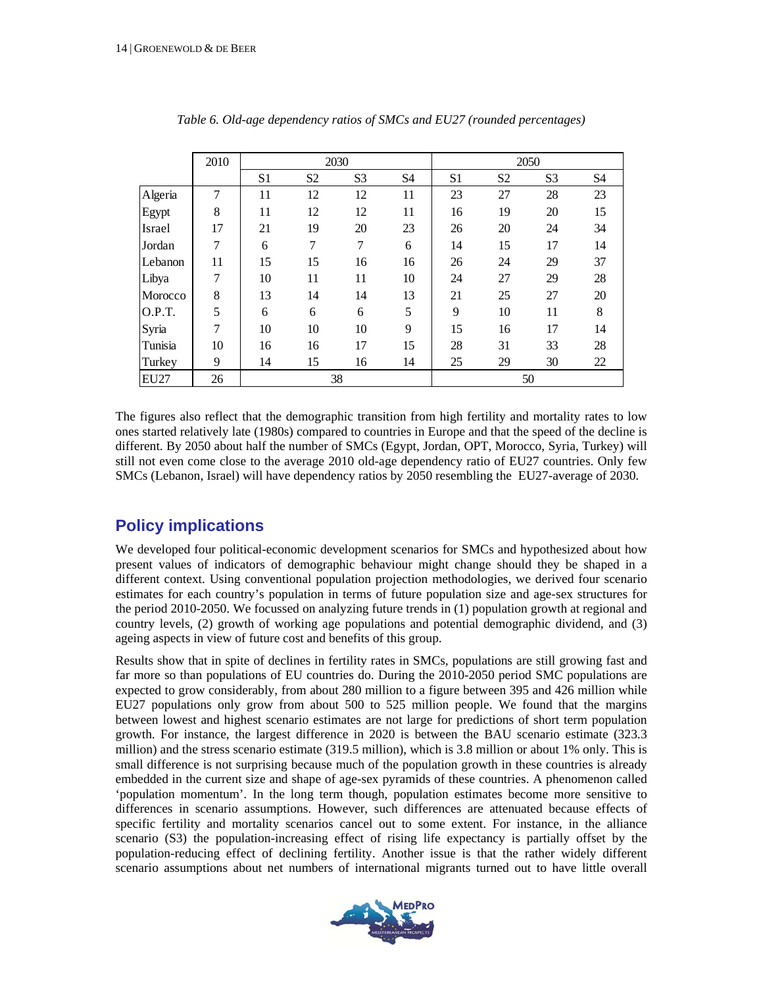|             | 2010 |    |                | 2030           |                |    | 2050           |                |    |  |
|-------------|------|----|----------------|----------------|----------------|----|----------------|----------------|----|--|
|             |      | S1 | S <sub>2</sub> | S <sub>3</sub> | S <sub>4</sub> | S1 | S <sub>2</sub> | S <sub>3</sub> | S4 |  |
| Algeria     | 7    | 11 | 12             | 12             | 11             | 23 | 27             | 28             | 23 |  |
| Egypt       | 8    | 11 | 12             | 12             | 11             | 16 | 19             | 20             | 15 |  |
| Israel      | 17   | 21 | 19             | 20             | 23             | 26 | 20             | 24             | 34 |  |
| Jordan      | 7    | 6  | 7              | 7              | 6              | 14 | 15             | 17             | 14 |  |
| Lebanon     | 11   | 15 | 15             | 16             | 16             | 26 | 24             | 29             | 37 |  |
| Libya       | 7    | 10 | 11             | 11             | 10             | 24 | 27             | 29             | 28 |  |
| Morocco     | 8    | 13 | 14             | 14             | 13             | 21 | 25             | 27             | 20 |  |
| O.P.T.      | 5    | 6  | 6              | 6              | 5              | 9  | 10             | 11             | 8  |  |
| Syria       | 7    | 10 | 10             | 10             | 9              | 15 | 16             | 17             | 14 |  |
| Tunisia     | 10   | 16 | 16             | 17             | 15             | 28 | 31             | 33             | 28 |  |
| Turkey      | 9    | 14 | 15             | 16             | 14             | 25 | 29             | 30             | 22 |  |
| <b>EU27</b> | 26   |    |                | 38             |                |    |                | 50             |    |  |

*Table 6. Old-age dependency ratios of SMCs and EU27 (rounded percentages)* 

The figures also reflect that the demographic transition from high fertility and mortality rates to low ones started relatively late (1980s) compared to countries in Europe and that the speed of the decline is different. By 2050 about half the number of SMCs (Egypt, Jordan, OPT, Morocco, Syria, Turkey) will still not even come close to the average 2010 old-age dependency ratio of EU27 countries. Only few SMCs (Lebanon, Israel) will have dependency ratios by 2050 resembling the EU27-average of 2030.

# **Policy implications**

We developed four political-economic development scenarios for SMCs and hypothesized about how present values of indicators of demographic behaviour might change should they be shaped in a different context. Using conventional population projection methodologies, we derived four scenario estimates for each country's population in terms of future population size and age-sex structures for the period 2010-2050. We focussed on analyzing future trends in (1) population growth at regional and country levels, (2) growth of working age populations and potential demographic dividend, and (3) ageing aspects in view of future cost and benefits of this group.

Results show that in spite of declines in fertility rates in SMCs, populations are still growing fast and far more so than populations of EU countries do. During the 2010-2050 period SMC populations are expected to grow considerably, from about 280 million to a figure between 395 and 426 million while EU27 populations only grow from about 500 to 525 million people. We found that the margins between lowest and highest scenario estimates are not large for predictions of short term population growth. For instance, the largest difference in 2020 is between the BAU scenario estimate (323.3 million) and the stress scenario estimate (319.5 million), which is 3.8 million or about 1% only. This is small difference is not surprising because much of the population growth in these countries is already embedded in the current size and shape of age-sex pyramids of these countries. A phenomenon called 'population momentum'. In the long term though, population estimates become more sensitive to differences in scenario assumptions. However, such differences are attenuated because effects of specific fertility and mortality scenarios cancel out to some extent. For instance, in the alliance scenario (S3) the population-increasing effect of rising life expectancy is partially offset by the population-reducing effect of declining fertility. Another issue is that the rather widely different scenario assumptions about net numbers of international migrants turned out to have little overall

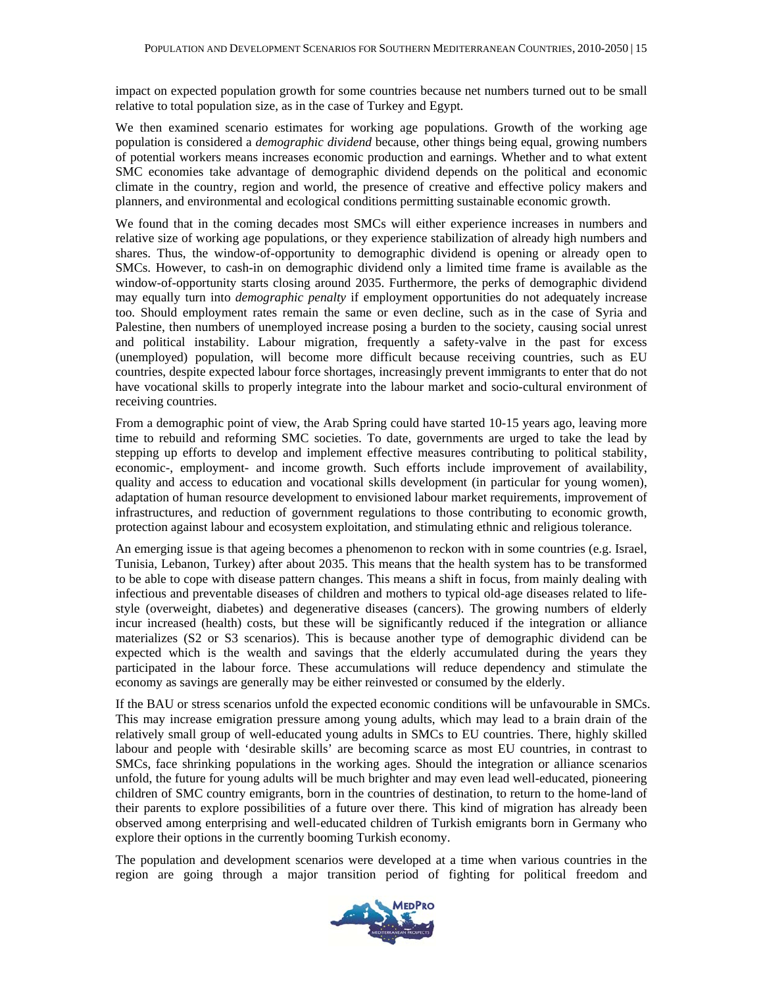impact on expected population growth for some countries because net numbers turned out to be small relative to total population size, as in the case of Turkey and Egypt.

We then examined scenario estimates for working age populations. Growth of the working age population is considered a *demographic dividend* because, other things being equal, growing numbers of potential workers means increases economic production and earnings. Whether and to what extent SMC economies take advantage of demographic dividend depends on the political and economic climate in the country, region and world, the presence of creative and effective policy makers and planners, and environmental and ecological conditions permitting sustainable economic growth.

We found that in the coming decades most SMCs will either experience increases in numbers and relative size of working age populations, or they experience stabilization of already high numbers and shares. Thus, the window-of-opportunity to demographic dividend is opening or already open to SMCs. However, to cash-in on demographic dividend only a limited time frame is available as the window-of-opportunity starts closing around 2035. Furthermore, the perks of demographic dividend may equally turn into *demographic penalty* if employment opportunities do not adequately increase too. Should employment rates remain the same or even decline, such as in the case of Syria and Palestine, then numbers of unemployed increase posing a burden to the society, causing social unrest and political instability. Labour migration, frequently a safety-valve in the past for excess (unemployed) population, will become more difficult because receiving countries, such as EU countries, despite expected labour force shortages, increasingly prevent immigrants to enter that do not have vocational skills to properly integrate into the labour market and socio-cultural environment of receiving countries.

From a demographic point of view, the Arab Spring could have started 10-15 years ago, leaving more time to rebuild and reforming SMC societies. To date, governments are urged to take the lead by stepping up efforts to develop and implement effective measures contributing to political stability, economic-, employment- and income growth. Such efforts include improvement of availability, quality and access to education and vocational skills development (in particular for young women), adaptation of human resource development to envisioned labour market requirements, improvement of infrastructures, and reduction of government regulations to those contributing to economic growth, protection against labour and ecosystem exploitation, and stimulating ethnic and religious tolerance.

An emerging issue is that ageing becomes a phenomenon to reckon with in some countries (e.g. Israel, Tunisia, Lebanon, Turkey) after about 2035. This means that the health system has to be transformed to be able to cope with disease pattern changes. This means a shift in focus, from mainly dealing with infectious and preventable diseases of children and mothers to typical old-age diseases related to lifestyle (overweight, diabetes) and degenerative diseases (cancers). The growing numbers of elderly incur increased (health) costs, but these will be significantly reduced if the integration or alliance materializes (S2 or S3 scenarios). This is because another type of demographic dividend can be expected which is the wealth and savings that the elderly accumulated during the years they participated in the labour force. These accumulations will reduce dependency and stimulate the economy as savings are generally may be either reinvested or consumed by the elderly.

If the BAU or stress scenarios unfold the expected economic conditions will be unfavourable in SMCs. This may increase emigration pressure among young adults, which may lead to a brain drain of the relatively small group of well-educated young adults in SMCs to EU countries. There, highly skilled labour and people with 'desirable skills' are becoming scarce as most EU countries, in contrast to SMCs, face shrinking populations in the working ages. Should the integration or alliance scenarios unfold, the future for young adults will be much brighter and may even lead well-educated, pioneering children of SMC country emigrants, born in the countries of destination, to return to the home-land of their parents to explore possibilities of a future over there. This kind of migration has already been observed among enterprising and well-educated children of Turkish emigrants born in Germany who explore their options in the currently booming Turkish economy.

The population and development scenarios were developed at a time when various countries in the region are going through a major transition period of fighting for political freedom and

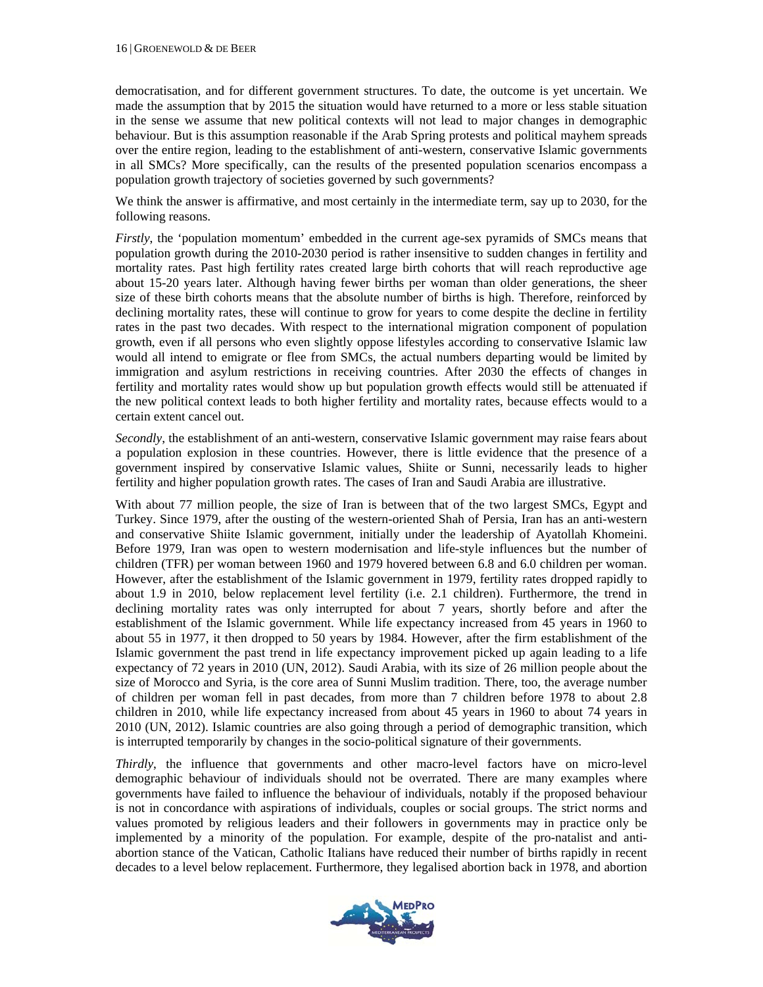democratisation, and for different government structures. To date, the outcome is yet uncertain. We made the assumption that by 2015 the situation would have returned to a more or less stable situation in the sense we assume that new political contexts will not lead to major changes in demographic behaviour. But is this assumption reasonable if the Arab Spring protests and political mayhem spreads over the entire region, leading to the establishment of anti-western, conservative Islamic governments in all SMCs? More specifically, can the results of the presented population scenarios encompass a population growth trajectory of societies governed by such governments?

We think the answer is affirmative, and most certainly in the intermediate term, say up to 2030, for the following reasons.

*Firstly*, the 'population momentum' embedded in the current age-sex pyramids of SMCs means that population growth during the 2010-2030 period is rather insensitive to sudden changes in fertility and mortality rates. Past high fertility rates created large birth cohorts that will reach reproductive age about 15-20 years later. Although having fewer births per woman than older generations, the sheer size of these birth cohorts means that the absolute number of births is high. Therefore, reinforced by declining mortality rates, these will continue to grow for years to come despite the decline in fertility rates in the past two decades. With respect to the international migration component of population growth, even if all persons who even slightly oppose lifestyles according to conservative Islamic law would all intend to emigrate or flee from SMCs, the actual numbers departing would be limited by immigration and asylum restrictions in receiving countries. After 2030 the effects of changes in fertility and mortality rates would show up but population growth effects would still be attenuated if the new political context leads to both higher fertility and mortality rates, because effects would to a certain extent cancel out.

*Secondly*, the establishment of an anti-western, conservative Islamic government may raise fears about a population explosion in these countries. However, there is little evidence that the presence of a government inspired by conservative Islamic values, Shiite or Sunni, necessarily leads to higher fertility and higher population growth rates. The cases of Iran and Saudi Arabia are illustrative.

With about 77 million people, the size of Iran is between that of the two largest SMCs, Egypt and Turkey. Since 1979, after the ousting of the western-oriented Shah of Persia, Iran has an anti-western and conservative Shiite Islamic government, initially under the leadership of Ayatollah Khomeini. Before 1979, Iran was open to western modernisation and life-style influences but the number of children (TFR) per woman between 1960 and 1979 hovered between 6.8 and 6.0 children per woman. However, after the establishment of the Islamic government in 1979, fertility rates dropped rapidly to about 1.9 in 2010, below replacement level fertility (i.e. 2.1 children). Furthermore, the trend in declining mortality rates was only interrupted for about 7 years, shortly before and after the establishment of the Islamic government. While life expectancy increased from 45 years in 1960 to about 55 in 1977, it then dropped to 50 years by 1984. However, after the firm establishment of the Islamic government the past trend in life expectancy improvement picked up again leading to a life expectancy of 72 years in 2010 (UN, 2012). Saudi Arabia, with its size of 26 million people about the size of Morocco and Syria, is the core area of Sunni Muslim tradition. There, too, the average number of children per woman fell in past decades, from more than 7 children before 1978 to about 2.8 children in 2010, while life expectancy increased from about 45 years in 1960 to about 74 years in 2010 (UN, 2012). Islamic countries are also going through a period of demographic transition, which is interrupted temporarily by changes in the socio-political signature of their governments.

*Thirdly*, the influence that governments and other macro-level factors have on micro-level demographic behaviour of individuals should not be overrated. There are many examples where governments have failed to influence the behaviour of individuals, notably if the proposed behaviour is not in concordance with aspirations of individuals, couples or social groups. The strict norms and values promoted by religious leaders and their followers in governments may in practice only be implemented by a minority of the population. For example, despite of the pro-natalist and antiabortion stance of the Vatican, Catholic Italians have reduced their number of births rapidly in recent decades to a level below replacement. Furthermore, they legalised abortion back in 1978, and abortion

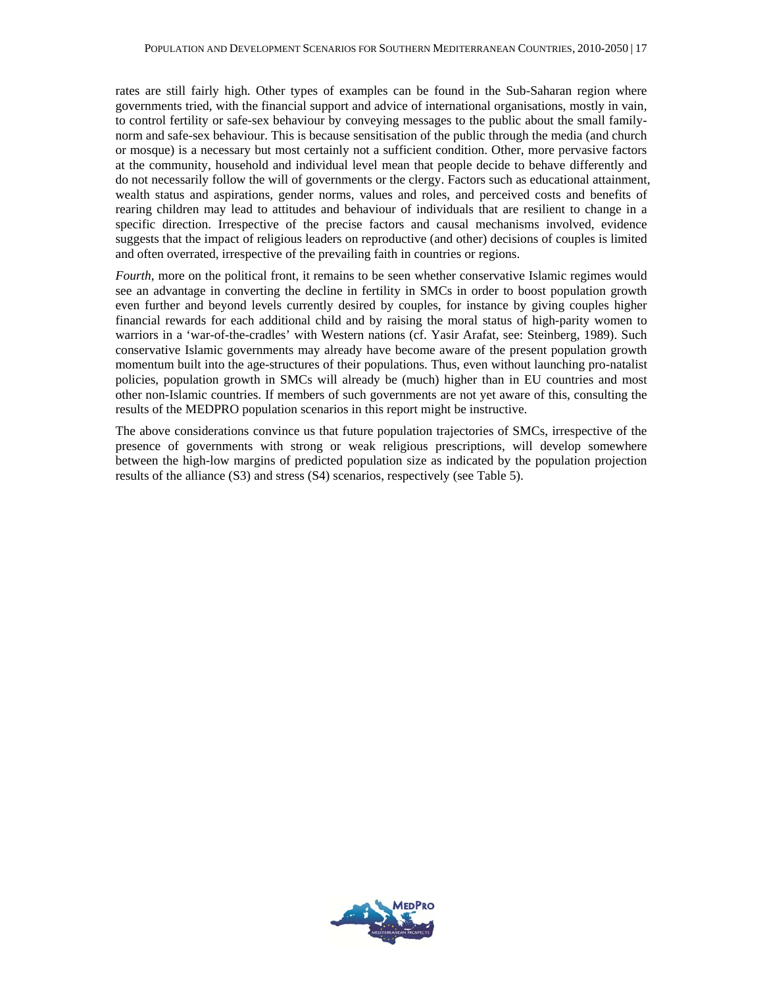rates are still fairly high. Other types of examples can be found in the Sub-Saharan region where governments tried, with the financial support and advice of international organisations, mostly in vain, to control fertility or safe-sex behaviour by conveying messages to the public about the small familynorm and safe-sex behaviour. This is because sensitisation of the public through the media (and church or mosque) is a necessary but most certainly not a sufficient condition. Other, more pervasive factors at the community, household and individual level mean that people decide to behave differently and do not necessarily follow the will of governments or the clergy. Factors such as educational attainment, wealth status and aspirations, gender norms, values and roles, and perceived costs and benefits of rearing children may lead to attitudes and behaviour of individuals that are resilient to change in a specific direction. Irrespective of the precise factors and causal mechanisms involved, evidence suggests that the impact of religious leaders on reproductive (and other) decisions of couples is limited and often overrated, irrespective of the prevailing faith in countries or regions.

*Fourth*, more on the political front, it remains to be seen whether conservative Islamic regimes would see an advantage in converting the decline in fertility in SMCs in order to boost population growth even further and beyond levels currently desired by couples, for instance by giving couples higher financial rewards for each additional child and by raising the moral status of high-parity women to warriors in a 'war-of-the-cradles' with Western nations (cf. Yasir Arafat, see: Steinberg, 1989). Such conservative Islamic governments may already have become aware of the present population growth momentum built into the age-structures of their populations. Thus, even without launching pro-natalist policies, population growth in SMCs will already be (much) higher than in EU countries and most other non-Islamic countries. If members of such governments are not yet aware of this, consulting the results of the MEDPRO population scenarios in this report might be instructive.

The above considerations convince us that future population trajectories of SMCs, irrespective of the presence of governments with strong or weak religious prescriptions, will develop somewhere between the high-low margins of predicted population size as indicated by the population projection results of the alliance (S3) and stress (S4) scenarios, respectively (see Table 5).

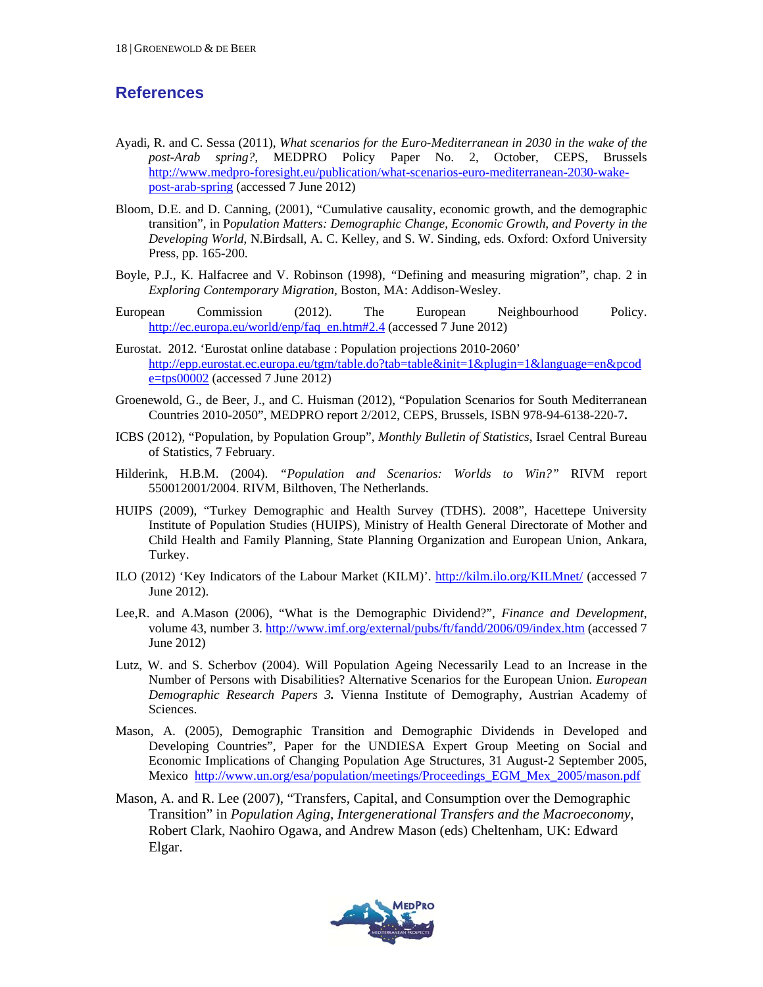## **References**

- Ayadi, R. and C. Sessa (2011), *What scenarios for the Euro-Mediterranean in 2030 in the wake of the post-Arab spring?,* MEDPRO Policy Paper No. 2, October, CEPS, Brussels http://www.medpro-foresight.eu/publication/what-scenarios-euro-mediterranean-2030-wakepost-arab-spring (accessed 7 June 2012)
- Bloom, D.E. and D. Canning, (2001), "Cumulative causality, economic growth, and the demographic transition", in P*opulation Matters: Demographic Change, Economic Growth, and Poverty in the Developing World*, N.Birdsall, A. C. Kelley, and S. W. Sinding, eds. Oxford: Oxford University Press, pp. 165-200.
- Boyle, P.J., K. Halfacree and V. Robinson (1998), *"*Defining and measuring migration", chap. 2 in *Exploring Contemporary Migration,* Boston, MA: Addison-Wesley.
- European Commission (2012). The European Neighbourhood Policy. http://ec.europa.eu/world/enp/faq\_en.htm#2.4 (accessed 7 June 2012)
- Eurostat. 2012. 'Eurostat online database : Population projections 2010-2060' http://epp.eurostat.ec.europa.eu/tgm/table.do?tab=table&init=1&plugin=1&language=en&pcod e=tps00002 (accessed 7 June 2012)
- Groenewold, G., de Beer, J., and C. Huisman (2012), "Population Scenarios for South Mediterranean Countries 2010-2050", MEDPRO report 2/2012, CEPS, Brussels, ISBN 978-94-6138-220-7**.**
- ICBS (2012), "Population, by Population Group", *Monthly Bulletin of Statistics*, Israel Central Bureau of Statistics, 7 February.
- Hilderink, H.B.M. (2004). *"Population and Scenarios: Worlds to Win?"* RIVM report 550012001/2004. RIVM, Bilthoven, The Netherlands.
- HUIPS (2009), "Turkey Demographic and Health Survey (TDHS). 2008", Hacettepe University Institute of Population Studies (HUIPS), Ministry of Health General Directorate of Mother and Child Health and Family Planning, State Planning Organization and European Union, Ankara, Turkey.
- ILO (2012) 'Key Indicators of the Labour Market (KILM)'. http://kilm.ilo.org/KILMnet/ (accessed 7 June 2012).
- Lee,R. and A.Mason (2006), "What is the Demographic Dividend?", *Finance and Development*, volume 43, number 3. http://www.imf.org/external/pubs/ft/fandd/2006/09/index.htm (accessed 7 June 2012)
- Lutz, W. and S. Scherbov (2004). Will Population Ageing Necessarily Lead to an Increase in the Number of Persons with Disabilities? Alternative Scenarios for the European Union. *European Demographic Research Papers 3.* Vienna Institute of Demography, Austrian Academy of Sciences.
- Mason, A. (2005), Demographic Transition and Demographic Dividends in Developed and Developing Countries", Paper for the UNDIESA Expert Group Meeting on Social and Economic Implications of Changing Population Age Structures, 31 August-2 September 2005, Mexico http://www.un.org/esa/population/meetings/Proceedings\_EGM\_Mex\_2005/mason.pdf
- Mason, A. and R. Lee (2007), "Transfers, Capital, and Consumption over the Demographic Transition" in *Population Aging, Intergenerational Transfers and the Macroeconomy,*  Robert Clark, Naohiro Ogawa, and Andrew Mason (eds) Cheltenham, UK: Edward Elgar.

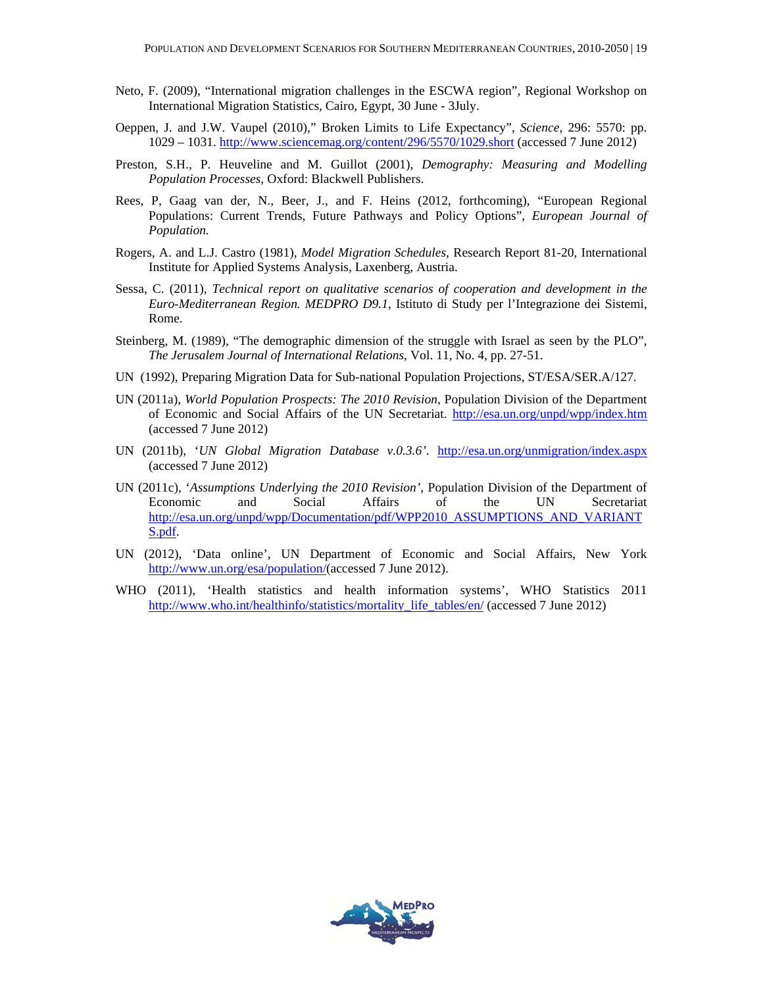- Neto, F. (2009), "International migration challenges in the ESCWA region", Regional Workshop on International Migration Statistics, Cairo, Egypt, 30 June - 3July.
- Oeppen, J. and J.W. Vaupel (2010)," Broken Limits to Life Expectancy", *Science*, 296: 5570: pp. 1029 – 1031. http://www.sciencemag.org/content/296/5570/1029.short (accessed 7 June 2012)
- Preston, S.H., P. Heuveline and M. Guillot (2001), *Demography: Measuring and Modelling Population Processes*, Oxford: Blackwell Publishers.
- Rees, P, Gaag van der, N., Beer, J., and F. Heins (2012, forthcoming), "European Regional Populations: Current Trends, Future Pathways and Policy Options", *European Journal of Population.*
- Rogers, A. and L.J. Castro (1981), *Model Migration Schedules*, Research Report 81-20, International Institute for Applied Systems Analysis, Laxenberg, Austria.
- Sessa, C. (2011), *Technical report on qualitative scenarios of cooperation and development in the Euro-Mediterranean Region. MEDPRO D9.1*, Istituto di Study per l'Integrazione dei Sistemi, Rome.
- Steinberg, M. (1989), "The demographic dimension of the struggle with Israel as seen by the PLO", *The Jerusalem Journal of International Relations*, Vol. 11, No. 4, pp. 27-51.
- UN (1992), Preparing Migration Data for Sub-national Population Projections, ST/ESA/SER.A/127.
- UN (2011a), *World Population Prospects: The 2010 Revision,* Population Division of the Department of Economic and Social Affairs of the UN Secretariat. http://esa.un.org/unpd/wpp/index.htm (accessed 7 June 2012)
- UN (2011b), '*UN Global Migration Database v.0.3.6'*. http://esa.un.org/unmigration/index.aspx (accessed 7 June 2012)
- UN (2011c), '*Assumptions Underlying the 2010 Revision'*, Population Division of the Department of Economic and Social Affairs of the UN Secretariat http://esa.un.org/unpd/wpp/Documentation/pdf/WPP2010\_ASSUMPTIONS\_AND\_VARIANT S.pdf.
- UN (2012), 'Data online', UN Department of Economic and Social Affairs, New York http://www.un.org/esa/population/(accessed 7 June 2012).
- WHO (2011), 'Health statistics and health information systems', WHO Statistics 2011 http://www.who.int/healthinfo/statistics/mortality\_life\_tables/en/ (accessed 7 June 2012)

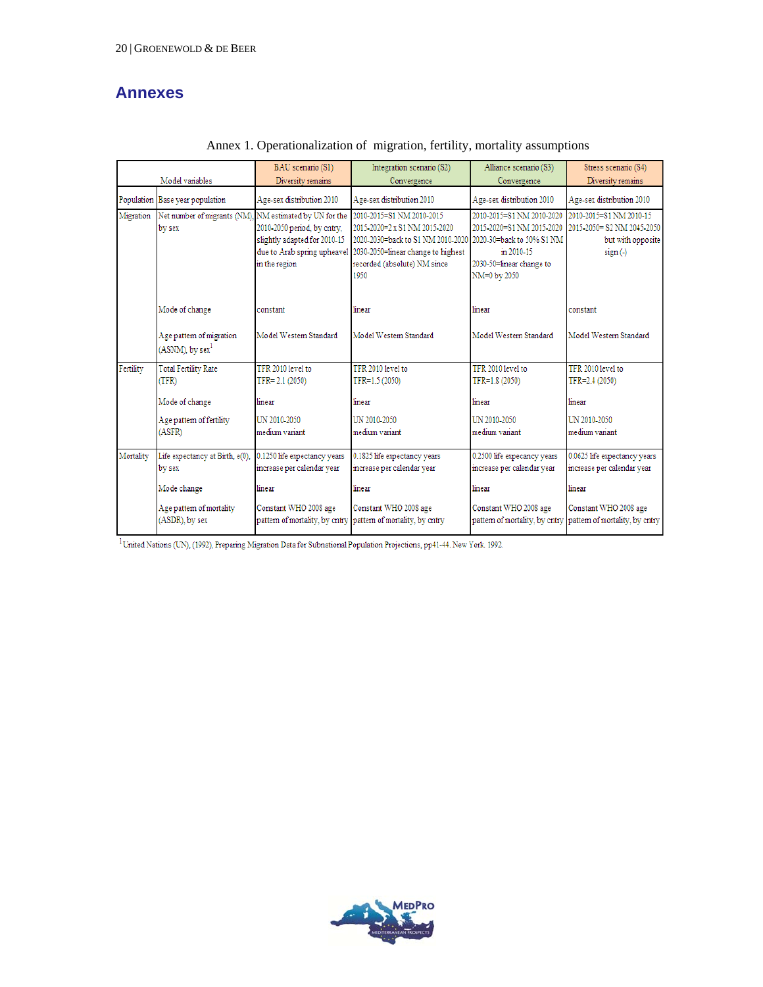# **Annexes**

|           |                                                                   | BAU scenario (S1)                                                            | Integration scenario (S2)                                                                                                                                                                                 | Alliance scenario (S3)                                                                                                                        | Stress scenario (S4)                                                                    |
|-----------|-------------------------------------------------------------------|------------------------------------------------------------------------------|-----------------------------------------------------------------------------------------------------------------------------------------------------------------------------------------------------------|-----------------------------------------------------------------------------------------------------------------------------------------------|-----------------------------------------------------------------------------------------|
|           | Model variables                                                   | Diversity remains                                                            | Convergence                                                                                                                                                                                               | Convergence                                                                                                                                   | Diversity remains                                                                       |
|           | Population Base year population                                   | Age-sex distribution 2010                                                    | Age-sex distribution 2010                                                                                                                                                                                 | Age-sex distribution 2010                                                                                                                     | Age-sex distribution 2010                                                               |
| Migration | Net number of migrants (NM). NM estimated by UN for the<br>by sex | 2010-2050 period, by cntry,<br>slightly adapted for 2010-15<br>in the region | 2010-2015=S1 NM 2010-2015<br>2015-2020=2 x S1 NM 2015-2020<br>2020-2030=back to S1 NM 2010-2020<br>due to Arab spring upheavel 2030-2050=linear change to highest<br>recorded (absolute) NM since<br>1950 | 2010-2015=S1 NM 2010-2020<br>2015-2020=S1 NM 2015-2020<br>2020-30=back to 50% S1 NM<br>in 2010-15<br>2030-50=linear change to<br>NM=0 by 2050 | 2010-2015=S1 NM 2010-15<br>2015-2050= S2 NM 2045-2050<br>but with opposite<br>$sign(-)$ |
|           | Mode of change                                                    | constant                                                                     | linear                                                                                                                                                                                                    | linear                                                                                                                                        | constant                                                                                |
|           | Age pattern of migration<br>(ASNM), by sex $^{\rm l}$             | Model Western Standard                                                       | Model Western Standard                                                                                                                                                                                    | Model Western Standard                                                                                                                        | Model Western Standard                                                                  |
| Fertility | <b>Total Fertility Rate</b><br>(TFR)                              | TFR 2010 level to<br>TFR= 2.1 (2050)                                         | TFR 2010 level to<br>TFR=1.5 (2050)                                                                                                                                                                       | TFR 2010 level to<br>TFR=1.8 (2050)                                                                                                           | TFR 2010 level to<br>TFR=2.4 (2050)                                                     |
|           | Mode of change                                                    | linear                                                                       | linear                                                                                                                                                                                                    | linear                                                                                                                                        | linear                                                                                  |
|           | Age pattern of fertility<br>(ASFR)                                | UN 2010-2050<br>medium variant                                               | UN 2010-2050<br>medium variant.                                                                                                                                                                           | UN 2010-2050<br>medium variant.                                                                                                               | UN 2010-2050<br>medium variant.                                                         |
| Mortality | Life expectancy at Birth, e(0),<br>by sex                         | 0.1250 life expectancy years<br>increase per calendar year                   | 0.1825 life expectancy years<br>increase per calendar year                                                                                                                                                | 0.2500 life expecancy years<br>increase per calendar year                                                                                     | 0.0625 life expectancy years<br>increase per calendar year                              |
|           | Mode change                                                       | linear                                                                       | linear                                                                                                                                                                                                    | linear                                                                                                                                        | linear                                                                                  |
|           | Age pattern of mortality<br>(ASDR), by sex                        | Constant WHO 2008 age<br>pattern of mortality, by cntry                      | Constant WHO 2008 age<br>pattern of mortality, by entry                                                                                                                                                   | Constant WHO 2008 age<br>pattern of mortality, by entry                                                                                       | Constant WHO 2008 age<br>pattern of mortality, by entry                                 |

#### Annex 1. Operationalization of migration, fertility, mortality assumptions

 $^{-1}$  United Nations (UN), (1992), Preparing Migration Data for Subnational Population Projections, pp41-44. New York. 1992.

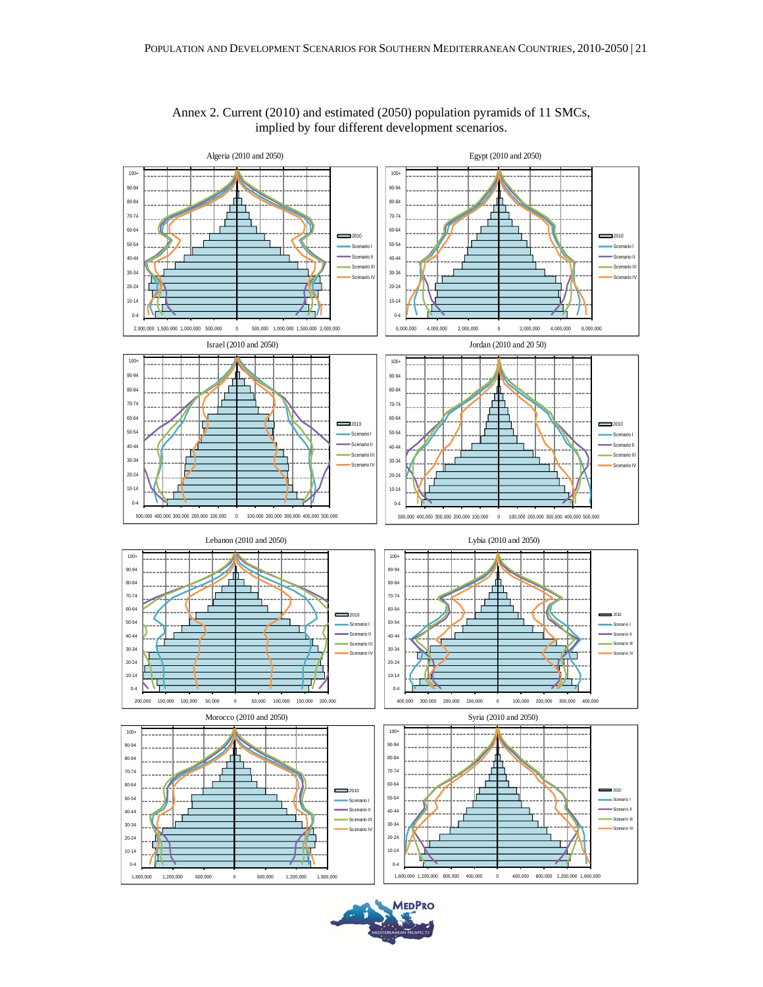

#### Annex 2. Current (2010) and estimated (2050) population pyramids of 11 SMCs, implied by four different development scenarios.

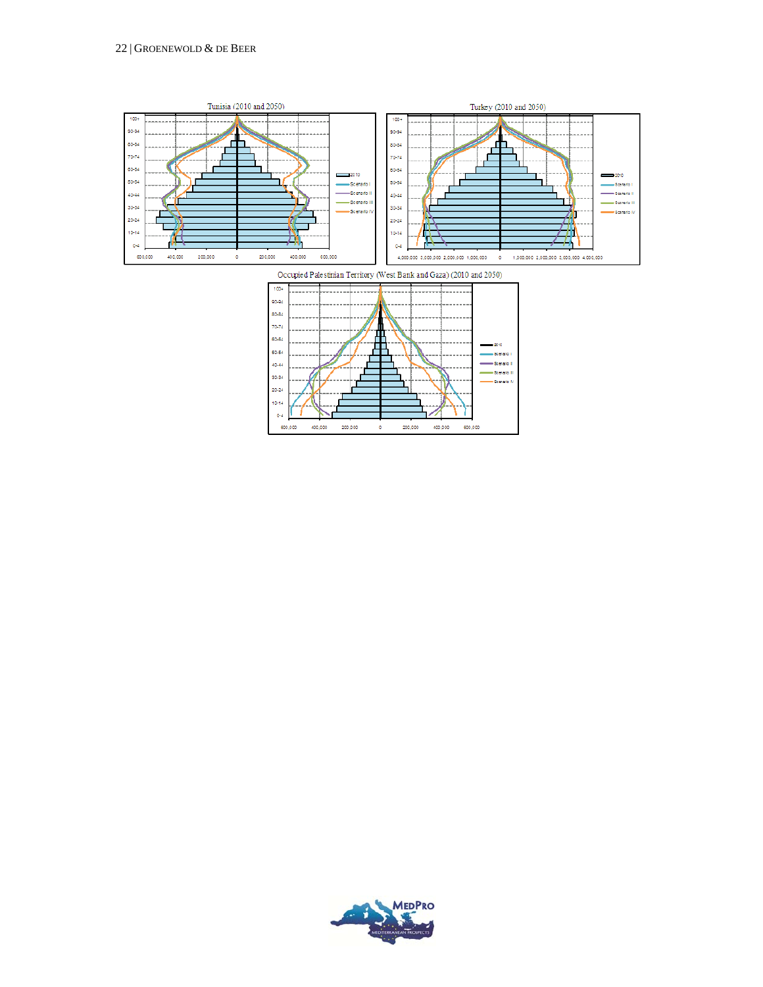

200,000

o

 $400,000$ 

600,000

 $200,000$ 

400,000

600,000

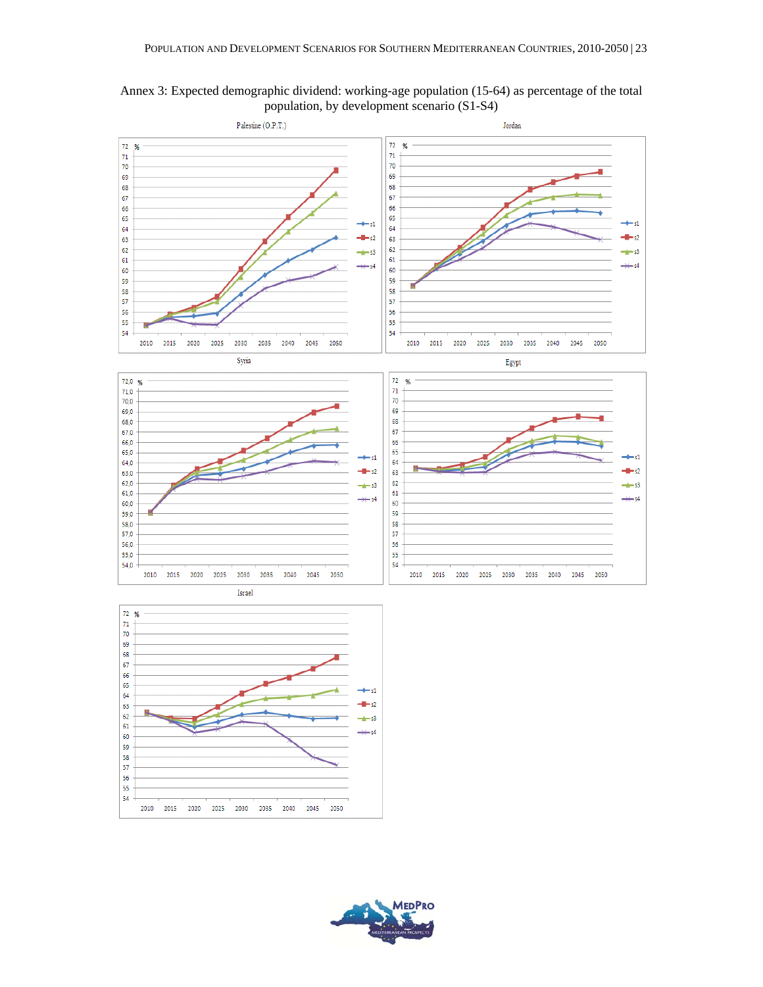